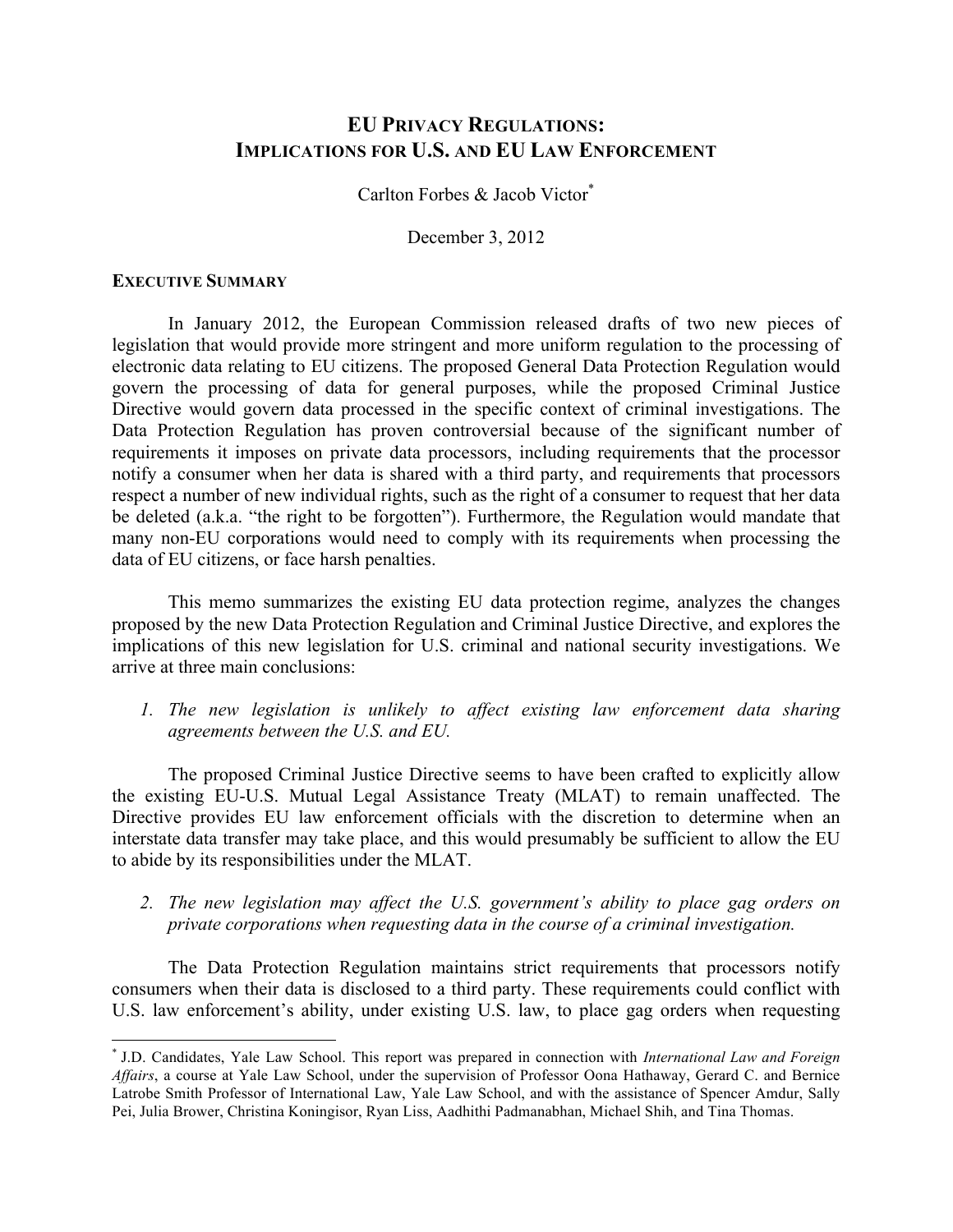# **EU PRIVACY REGULATIONS: IMPLICATIONS FOR U.S. AND EU LAW ENFORCEMENT**

Carlton Forbes & Jacob Victor\*

December 3, 2012

### **EXECUTIVE SUMMARY**

In January 2012, the European Commission released drafts of two new pieces of legislation that would provide more stringent and more uniform regulation to the processing of electronic data relating to EU citizens. The proposed General Data Protection Regulation would govern the processing of data for general purposes, while the proposed Criminal Justice Directive would govern data processed in the specific context of criminal investigations. The Data Protection Regulation has proven controversial because of the significant number of requirements it imposes on private data processors, including requirements that the processor notify a consumer when her data is shared with a third party, and requirements that processors respect a number of new individual rights, such as the right of a consumer to request that her data be deleted (a.k.a. "the right to be forgotten"). Furthermore, the Regulation would mandate that many non-EU corporations would need to comply with its requirements when processing the data of EU citizens, or face harsh penalties.

This memo summarizes the existing EU data protection regime, analyzes the changes proposed by the new Data Protection Regulation and Criminal Justice Directive, and explores the implications of this new legislation for U.S. criminal and national security investigations. We arrive at three main conclusions:

*1. The new legislation is unlikely to affect existing law enforcement data sharing agreements between the U.S. and EU.* 

The proposed Criminal Justice Directive seems to have been crafted to explicitly allow the existing EU-U.S. Mutual Legal Assistance Treaty (MLAT) to remain unaffected. The Directive provides EU law enforcement officials with the discretion to determine when an interstate data transfer may take place, and this would presumably be sufficient to allow the EU to abide by its responsibilities under the MLAT.

*2. The new legislation may affect the U.S. government's ability to place gag orders on private corporations when requesting data in the course of a criminal investigation.*

The Data Protection Regulation maintains strict requirements that processors notify consumers when their data is disclosed to a third party. These requirements could conflict with U.S. law enforcement's ability, under existing U.S. law, to place gag orders when requesting

 \* J.D. Candidates, Yale Law School. This report was prepared in connection with *International Law and Foreign Affairs*, a course at Yale Law School, under the supervision of Professor Oona Hathaway, Gerard C. and Bernice Latrobe Smith Professor of International Law, Yale Law School, and with the assistance of Spencer Amdur, Sally Pei, Julia Brower, Christina Koningisor, Ryan Liss, Aadhithi Padmanabhan, Michael Shih, and Tina Thomas.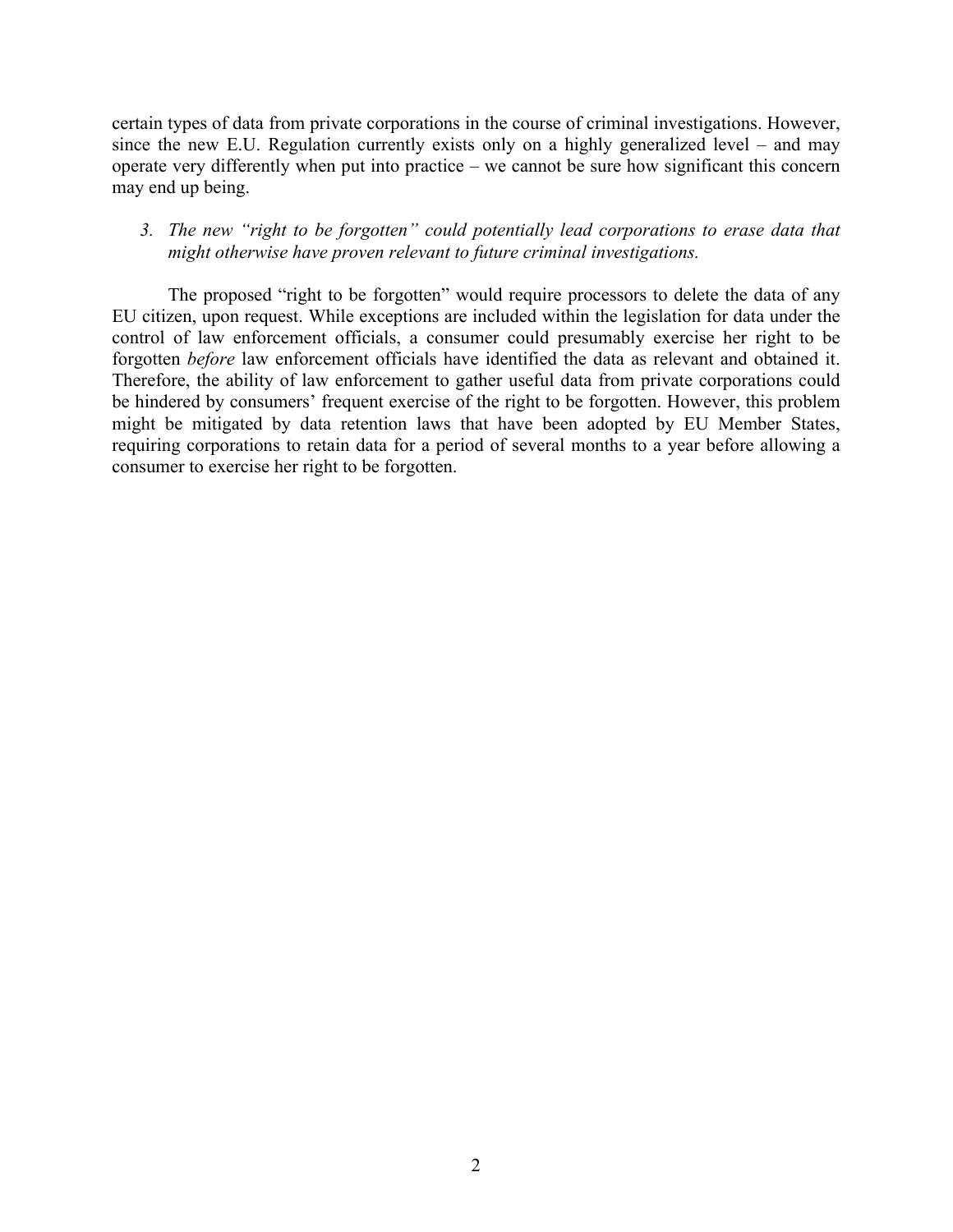certain types of data from private corporations in the course of criminal investigations. However, since the new E.U. Regulation currently exists only on a highly generalized level – and may operate very differently when put into practice – we cannot be sure how significant this concern may end up being.

### *3. The new "right to be forgotten" could potentially lead corporations to erase data that might otherwise have proven relevant to future criminal investigations.*

The proposed "right to be forgotten" would require processors to delete the data of any EU citizen, upon request. While exceptions are included within the legislation for data under the control of law enforcement officials, a consumer could presumably exercise her right to be forgotten *before* law enforcement officials have identified the data as relevant and obtained it. Therefore, the ability of law enforcement to gather useful data from private corporations could be hindered by consumers' frequent exercise of the right to be forgotten. However, this problem might be mitigated by data retention laws that have been adopted by EU Member States, requiring corporations to retain data for a period of several months to a year before allowing a consumer to exercise her right to be forgotten.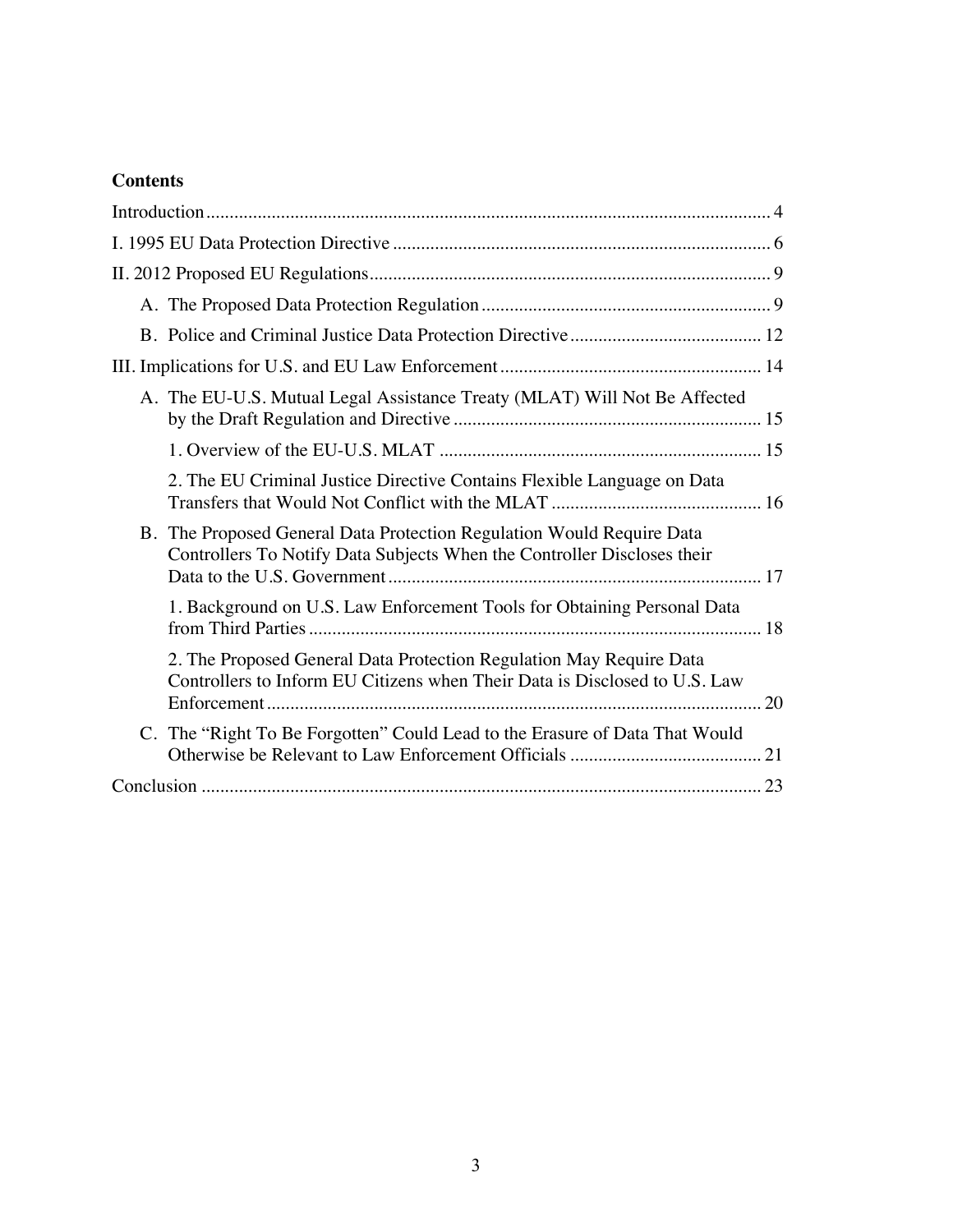# **Contents**

| A. The EU-U.S. Mutual Legal Assistance Treaty (MLAT) Will Not Be Affected                                                                         |
|---------------------------------------------------------------------------------------------------------------------------------------------------|
|                                                                                                                                                   |
| 2. The EU Criminal Justice Directive Contains Flexible Language on Data                                                                           |
| B. The Proposed General Data Protection Regulation Would Require Data<br>Controllers To Notify Data Subjects When the Controller Discloses their  |
| 1. Background on U.S. Law Enforcement Tools for Obtaining Personal Data                                                                           |
| 2. The Proposed General Data Protection Regulation May Require Data<br>Controllers to Inform EU Citizens when Their Data is Disclosed to U.S. Law |
| C. The "Right To Be Forgotten" Could Lead to the Erasure of Data That Would                                                                       |
|                                                                                                                                                   |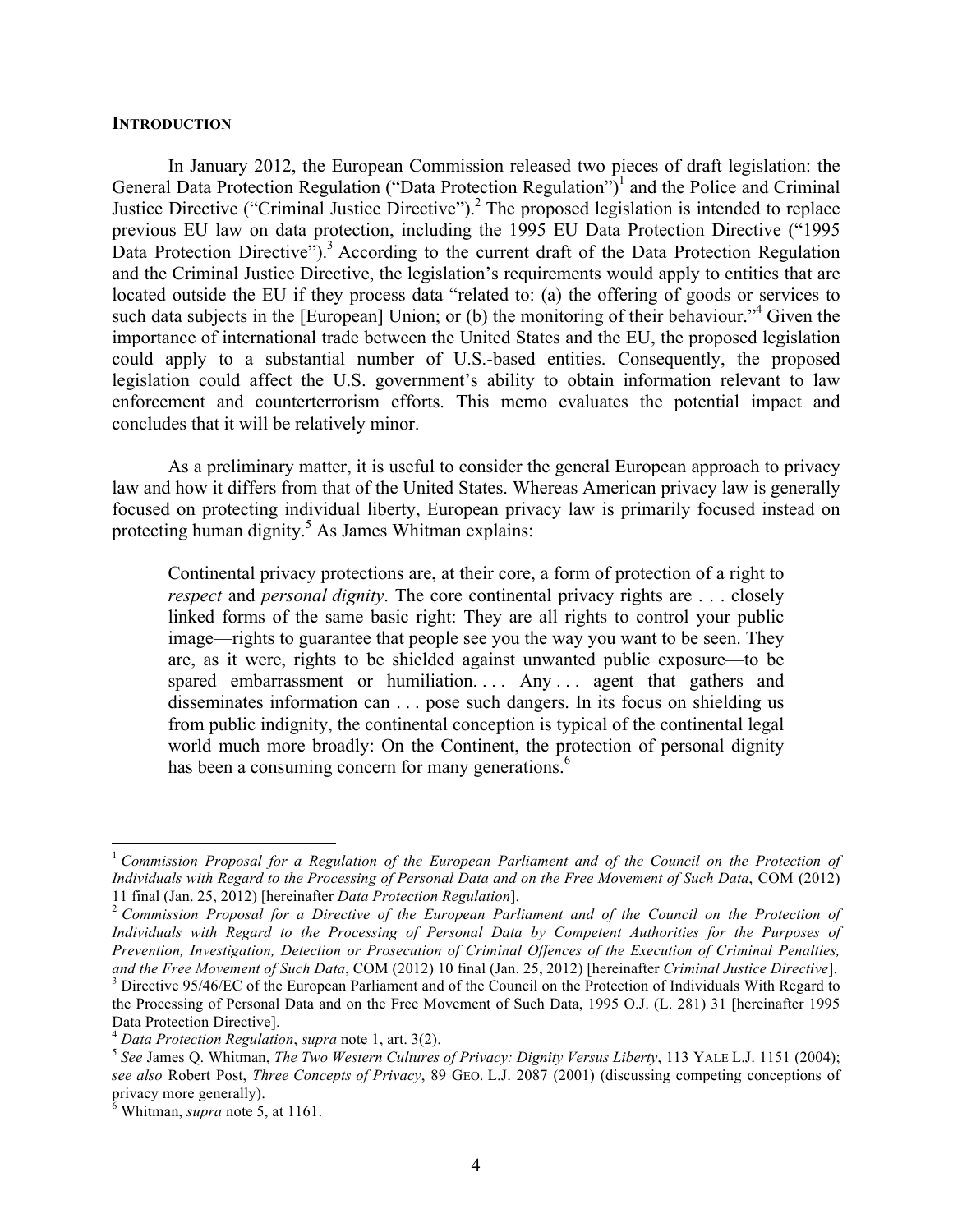#### **INTRODUCTION**

In January 2012, the European Commission released two pieces of draft legislation: the General Data Protection Regulation ("Data Protection Regulation")<sup>1</sup> and the Police and Criminal Justice Directive ("Criminal Justice Directive").<sup>2</sup> The proposed legislation is intended to replace previous EU law on data protection, including the 1995 EU Data Protection Directive ("1995 Data Protection Directive").<sup>3</sup> According to the current draft of the Data Protection Regulation and the Criminal Justice Directive, the legislation's requirements would apply to entities that are located outside the EU if they process data "related to: (a) the offering of goods or services to such data subjects in the [European] Union; or (b) the monitoring of their behaviour."<sup>4</sup> Given the importance of international trade between the United States and the EU, the proposed legislation could apply to a substantial number of U.S.-based entities. Consequently, the proposed legislation could affect the U.S. government's ability to obtain information relevant to law enforcement and counterterrorism efforts. This memo evaluates the potential impact and concludes that it will be relatively minor.

As a preliminary matter, it is useful to consider the general European approach to privacy law and how it differs from that of the United States. Whereas American privacy law is generally focused on protecting individual liberty, European privacy law is primarily focused instead on protecting human dignity. <sup>5</sup> As James Whitman explains:

Continental privacy protections are, at their core, a form of protection of a right to *respect* and *personal dignity*. The core continental privacy rights are . . . closely linked forms of the same basic right: They are all rights to control your public image—rights to guarantee that people see you the way you want to be seen. They are, as it were, rights to be shielded against unwanted public exposure—to be spared embarrassment or humiliation.... Any ... agent that gathers and disseminates information can . . . pose such dangers. In its focus on shielding us from public indignity, the continental conception is typical of the continental legal world much more broadly: On the Continent, the protection of personal dignity has been a consuming concern for many generations.<sup>6</sup>

 <sup>1</sup> *Commission Proposal for a Regulation of the European Parliament and of the Council on the Protection of Individuals with Regard to the Processing of Personal Data and on the Free Movement of Such Data*, COM (2012) 11 final (Jan. 25, 2012) [hereinafter *Data Protection Regulation*]. <sup>2</sup> *Commission Proposal for a Directive of the European Parliament and of the Council on the Protection of* 

*Individuals with Regard to the Processing of Personal Data by Competent Authorities for the Purposes of Prevention, Investigation, Detection or Prosecution of Criminal Offences of the Execution of Criminal Penalties,*  and the Free Movement of Such Data, COM (2012) 10 final (Jan. 25, 2012) [hereinafter Criminal Justice Directive].<br><sup>3</sup> Directive 95/46/EC of the European Parliament and of the Council on the Protection of Individuals With R

the Processing of Personal Data and on the Free Movement of Such Data, 1995 O.J. (L. 281) 31 [hereinafter 1995 Data Protection Directive].<br><sup>4</sup> Data Protection Regulation, supra note 1, art. 3(2).

<sup>&</sup>lt;sup>5</sup> See James Q. Whitman, *The Two Western Cultures of Privacy: Dignity Versus Liberty*, 113 YALE L.J. 1151 (2004); *see also* Robert Post, *Three Concepts of Privacy*, 89 GEO. L.J. 2087 (2001) (discussing competing conceptions of privacy more generally).

 $6$  Whitman, *supra* note 5, at 1161.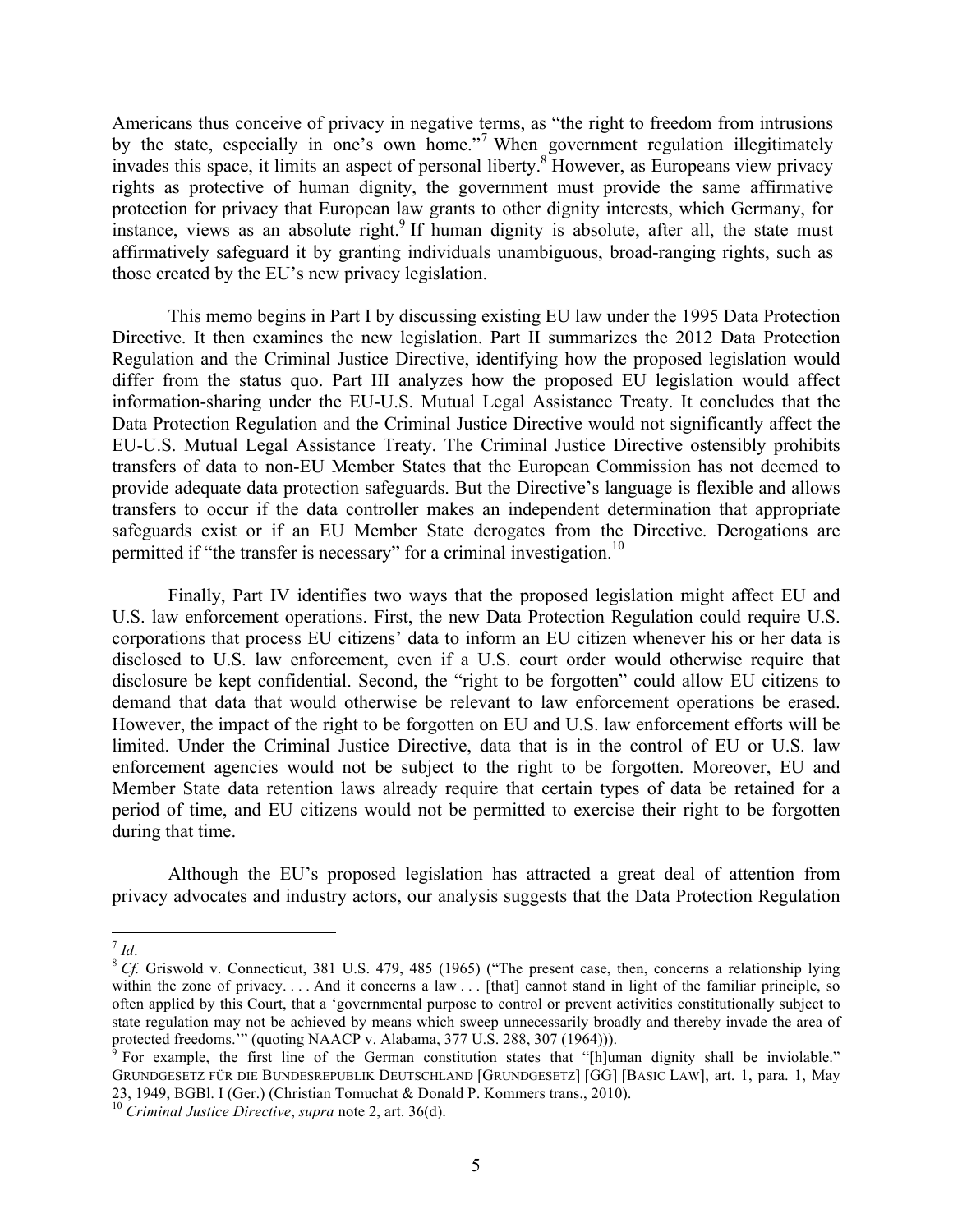Americans thus conceive of privacy in negative terms, as "the right to freedom from intrusions by the state, especially in one's own home."<sup>7</sup> When government regulation illegitimately invades this space, it limits an aspect of personal liberty.8 However, as Europeans view privacy rights as protective of human dignity, the government must provide the same affirmative protection for privacy that European law grants to other dignity interests, which Germany, for instance, views as an absolute right.<sup>9</sup> If human dignity is absolute, after all, the state must affirmatively safeguard it by granting individuals unambiguous, broad-ranging rights, such as those created by the EU's new privacy legislation.

This memo begins in Part I by discussing existing EU law under the 1995 Data Protection Directive. It then examines the new legislation. Part II summarizes the 2012 Data Protection Regulation and the Criminal Justice Directive, identifying how the proposed legislation would differ from the status quo. Part III analyzes how the proposed EU legislation would affect information-sharing under the EU-U.S. Mutual Legal Assistance Treaty. It concludes that the Data Protection Regulation and the Criminal Justice Directive would not significantly affect the EU-U.S. Mutual Legal Assistance Treaty. The Criminal Justice Directive ostensibly prohibits transfers of data to non-EU Member States that the European Commission has not deemed to provide adequate data protection safeguards. But the Directive's language is flexible and allows transfers to occur if the data controller makes an independent determination that appropriate safeguards exist or if an EU Member State derogates from the Directive. Derogations are permitted if "the transfer is necessary" for a criminal investigation.<sup>10</sup>

Finally, Part IV identifies two ways that the proposed legislation might affect EU and U.S. law enforcement operations. First, the new Data Protection Regulation could require U.S. corporations that process EU citizens' data to inform an EU citizen whenever his or her data is disclosed to U.S. law enforcement, even if a U.S. court order would otherwise require that disclosure be kept confidential. Second, the "right to be forgotten" could allow EU citizens to demand that data that would otherwise be relevant to law enforcement operations be erased. However, the impact of the right to be forgotten on EU and U.S. law enforcement efforts will be limited. Under the Criminal Justice Directive, data that is in the control of EU or U.S. law enforcement agencies would not be subject to the right to be forgotten. Moreover, EU and Member State data retention laws already require that certain types of data be retained for a period of time, and EU citizens would not be permitted to exercise their right to be forgotten during that time.

Although the EU's proposed legislation has attracted a great deal of attention from privacy advocates and industry actors, our analysis suggests that the Data Protection Regulation

 $\frac{7}{1}$  *Id*.<br><sup>8</sup> *Cf.* Griswold v. Connecticut, 381 U.S. 479, 485 (1965) ("The present case, then, concerns a relationship lying within the zone of privacy.... And it concerns a law ... [that] cannot stand in light of the familiar principle, so often applied by this Court, that a 'governmental purpose to control or prevent activities constitutionally subject to state regulation may not be achieved by means which sweep unnecessarily broadly and thereby invade the area of protected freedoms.'" (quoting NAACP v. Alabama, 377 U.S. 288, 307 (1964))).<br><sup>9</sup> For example, the first line of the German constitution states that "[h]uman dignity shall be inviolable."

GRUNDGESETZ FÜR DIE BUNDESREPUBLIK DEUTSCHLAND [GRUNDGESETZ] [GG] [BASIC LAW], art. 1, para. 1, May 23, 1949, BGBl. I (Ger.) (Christian Tomuchat & Donald P. Kommers trans., 2010). 10 *Criminal Justice Directive*, *supra* note 2, art. 36(d).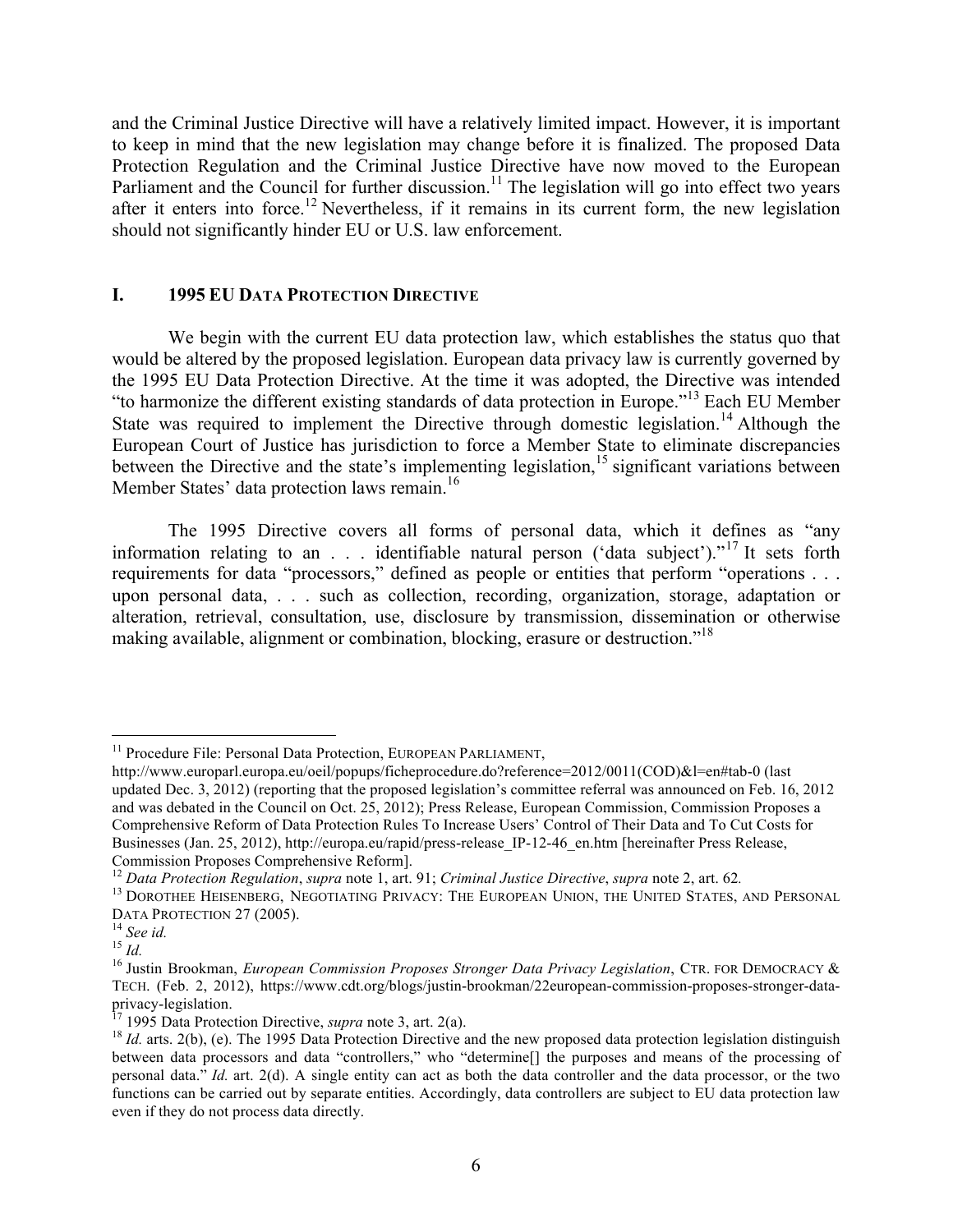and the Criminal Justice Directive will have a relatively limited impact. However, it is important to keep in mind that the new legislation may change before it is finalized. The proposed Data Protection Regulation and the Criminal Justice Directive have now moved to the European Parliament and the Council for further discussion.<sup>11</sup> The legislation will go into effect two years after it enters into force.<sup>12</sup> Nevertheless, if it remains in its current form, the new legislation should not significantly hinder EU or U.S. law enforcement.

### **I. 1995 EU DATA PROTECTION DIRECTIVE**

We begin with the current EU data protection law, which establishes the status quo that would be altered by the proposed legislation. European data privacy law is currently governed by the 1995 EU Data Protection Directive. At the time it was adopted, the Directive was intended "to harmonize the different existing standards of data protection in Europe."<sup>13</sup> Each EU Member State was required to implement the Directive through domestic legislation.<sup>14</sup> Although the European Court of Justice has jurisdiction to force a Member State to eliminate discrepancies between the Directive and the state's implementing legislation,<sup>15</sup> significant variations between Member States' data protection laws remain.<sup>16</sup>

The 1995 Directive covers all forms of personal data, which it defines as "any information relating to an . . . identifiable natural person ('data subject')."<sup>17</sup> It sets forth requirements for data "processors," defined as people or entities that perform "operations . . . upon personal data, . . . such as collection, recording, organization, storage, adaptation or alteration, retrieval, consultation, use, disclosure by transmission, dissemination or otherwise making available, alignment or combination, blocking, erasure or destruction."<sup>18</sup>

<sup>&</sup>lt;sup>11</sup> Procedure File: Personal Data Protection, EUROPEAN PARLIAMENT,

http://www.europarl.europa.eu/oeil/popups/ficheprocedure.do?reference=2012/0011(COD)&l=en#tab-0 (last updated Dec. 3, 2012) (reporting that the proposed legislation's committee referral was announced on Feb. 16, 2012 and was debated in the Council on Oct. 25, 2012); Press Release, European Commission, Commission Proposes a Comprehensive Reform of Data Protection Rules To Increase Users' Control of Their Data and To Cut Costs for Businesses (Jan. 25, 2012), http://europa.eu/rapid/press-release IP-12-46 en.htm [hereinafter Press Release, Commission Proposes Comprehensive Reform].<br><sup>12</sup> Data Protection Regulation, supra note 1, art. 91; Criminal Justice Directive, supra note 2, art. 62.

 $^{13}$  DOROTHEE HEISENBERG, NEGOTIATING PRIVACY: THE EUROPEAN UNION, THE UNITED STATES, AND PERSONAL DATA PROTECTION 27 (2005).

<sup>&</sup>lt;sup>14</sup> See id.<br><sup>15</sup> *Id.* 15 *Id.* 15 *Id.* 16 Justin Brookman, *European Commission Proposes Stronger Data Privacy Legislation*, CTR. FOR DEMOCRACY & TECH. (Feb. 2, 2012), https://www.cdt.org/blogs/justin-brookman/22european-commission-proposes-stronger-data-<br>privacy-legislation.<br><sup>17</sup> 1995 Data Protection Directive, *supra* note 3, art. 2(a).

<sup>&</sup>lt;sup>18</sup> *Id.* arts. 2(b), (e). The 1995 Data Protection Directive and the new proposed data protection legislation distinguish between data processors and data "controllers," who "determine[] the purposes and means of the processing of personal data." *Id.* art. 2(d). A single entity can act as both the data controller and the data processor, or the two functions can be carried out by separate entities. Accordingly, data controllers are subject to EU data protection law even if they do not process data directly.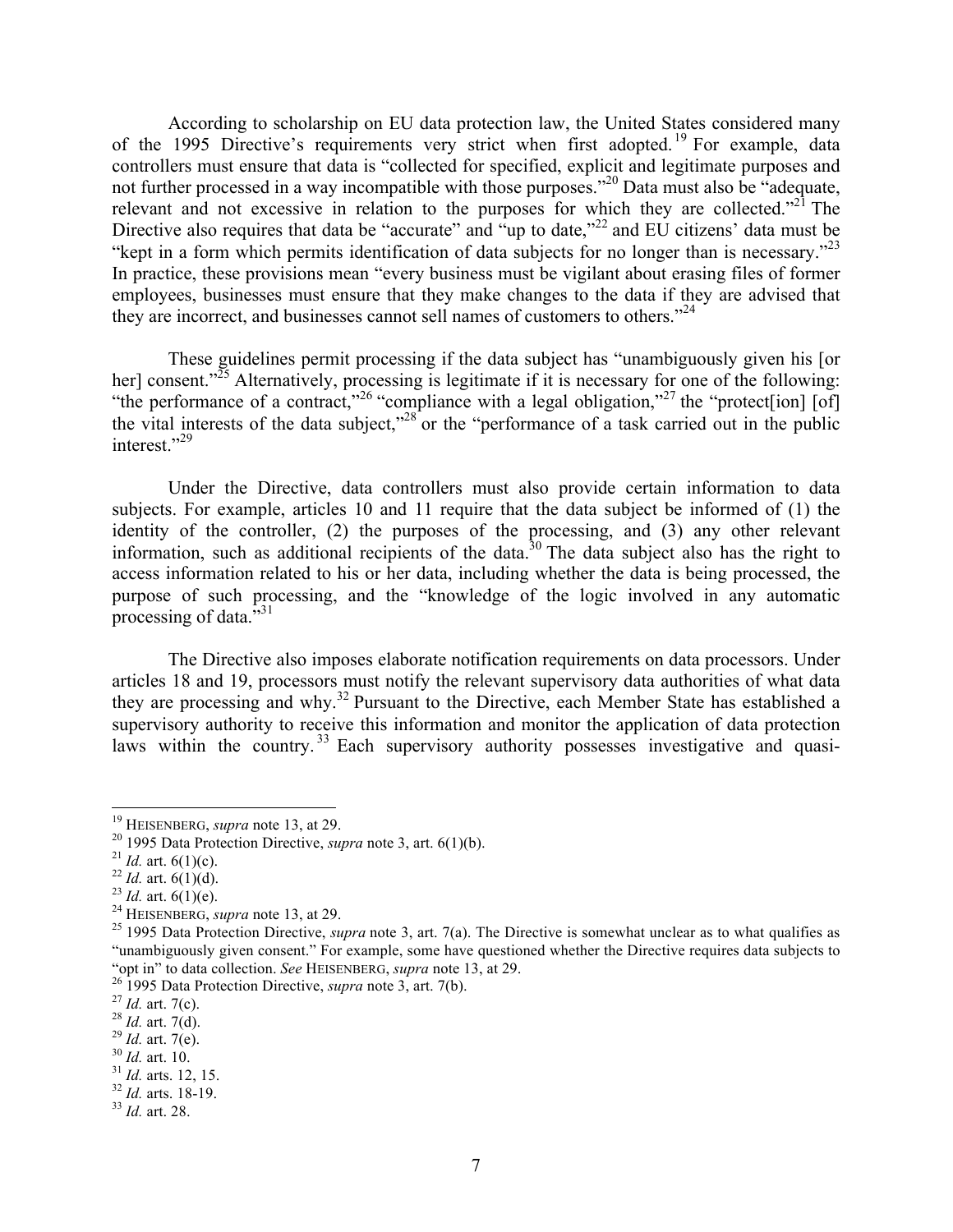According to scholarship on EU data protection law, the United States considered many of the 1995 Directive's requirements very strict when first adopted.<sup>19</sup> For example, data controllers must ensure that data is "collected for specified, explicit and legitimate purposes and not further processed in a way incompatible with those purposes."<sup>20</sup> Data must also be "adequate, relevant and not excessive in relation to the purposes for which they are collected."<sup>21</sup> The Directive also requires that data be "accurate" and "up to date," $^{22}$  and EU citizens' data must be "kept in a form which permits identification of data subjects for no longer than is necessary."<sup>23</sup> In practice, these provisions mean "every business must be vigilant about erasing files of former employees, businesses must ensure that they make changes to the data if they are advised that they are incorrect, and businesses cannot sell names of customers to others."<sup>24</sup>

These guidelines permit processing if the data subject has "unambiguously given his [or her] consent."<sup>25</sup> Alternatively, processing is legitimate if it is necessary for one of the following: "the performance of a contract,"<sup>26</sup> "compliance with a legal obligation,"<sup>27</sup> the "protect[ion] [of] the vital interests of the data subject,"<sup>28</sup> or the "performance of a task carried out in the public interest."<sup>29</sup>

Under the Directive, data controllers must also provide certain information to data subjects. For example, articles 10 and 11 require that the data subject be informed of (1) the identity of the controller, (2) the purposes of the processing, and (3) any other relevant information, such as additional recipients of the data.<sup>30</sup> The data subject also has the right to access information related to his or her data, including whether the data is being processed, the purpose of such processing, and the "knowledge of the logic involved in any automatic processing of data. $^{7,31}$ 

The Directive also imposes elaborate notification requirements on data processors. Under articles 18 and 19, processors must notify the relevant supervisory data authorities of what data they are processing and why.<sup>32</sup> Pursuant to the Directive, each Member State has established a supervisory authority to receive this information and monitor the application of data protection laws within the country.<sup>33</sup> Each supervisory authority possesses investigative and quasi-

<sup>&</sup>lt;sup>19</sup> HEISENBERG, *supra* note 13, at 29.<br>
<sup>20</sup> 1995 Data Protection Directive, *supra* note 3, art. 6(1)(b).<br>
<sup>21</sup> *Id.* art. 6(1)(c).<br>
<sup>22</sup> *Id.* art. 6(1)(d).<br>
<sup>23</sup> *Id.* art. 6(1)(e).<br>
<sup>23</sup> *Id.* art. 6(1)(e).<br>
<sup>24</sup> HE "unambiguously given consent." For example, some have questioned whether the Directive requires data subjects to<br>"opt in" to data collection. See HEISENBERG, *supra* note 13, at 29.

<sup>&</sup>lt;sup>26</sup> 1995 Data Protection Directive, *supra* note 3, art. 7(b).<br>
<sup>27</sup> *Id.* art. 7(c).<br>
<sup>28</sup> *Id.* art. 7(d).<br>
<sup>29</sup> *Id.* art. 7(d).<br>
<sup>30</sup> *Id.* art. 10.<br>
<sup>31</sup> *Id.* arts. 12, 15.<br>
<sup>32</sup> *Id.* arts. 18-19.<br>
<sup>33</sup> *Id.* art.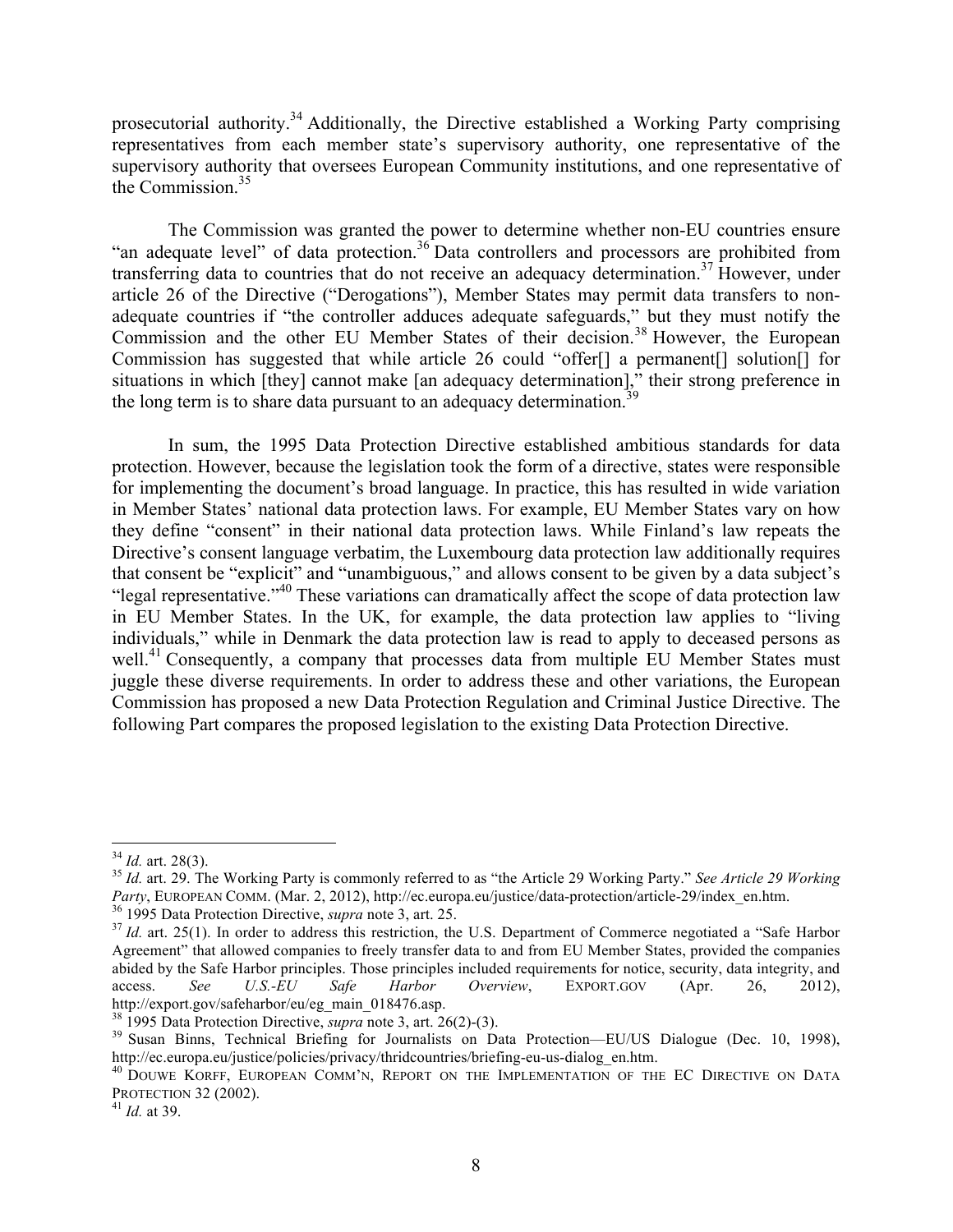prosecutorial authority.34 Additionally, the Directive established a Working Party comprising representatives from each member state's supervisory authority, one representative of the supervisory authority that oversees European Community institutions, and one representative of the Commission<sup>35</sup>

The Commission was granted the power to determine whether non-EU countries ensure "an adequate level" of data protection.<sup>36</sup> Data controllers and processors are prohibited from transferring data to countries that do not receive an adequacy determination.<sup>37</sup> However, under article 26 of the Directive ("Derogations"), Member States may permit data transfers to nonadequate countries if "the controller adduces adequate safeguards," but they must notify the Commission and the other EU Member States of their decision.<sup>38</sup> However, the European Commission has suggested that while article 26 could "offer[] a permanent[] solution[] for situations in which [they] cannot make [an adequacy determination]," their strong preference in the long term is to share data pursuant to an adequacy determination.<sup>39</sup>

In sum, the 1995 Data Protection Directive established ambitious standards for data protection. However, because the legislation took the form of a directive, states were responsible for implementing the document's broad language. In practice, this has resulted in wide variation in Member States' national data protection laws. For example, EU Member States vary on how they define "consent" in their national data protection laws. While Finland's law repeats the Directive's consent language verbatim, the Luxembourg data protection law additionally requires that consent be "explicit" and "unambiguous," and allows consent to be given by a data subject's "legal representative."<sup>40</sup> These variations can dramatically affect the scope of data protection law in EU Member States. In the UK, for example, the data protection law applies to "living individuals," while in Denmark the data protection law is read to apply to deceased persons as well.<sup>41</sup> Consequently, a company that processes data from multiple EU Member States must juggle these diverse requirements. In order to address these and other variations, the European Commission has proposed a new Data Protection Regulation and Criminal Justice Directive. The following Part compares the proposed legislation to the existing Data Protection Directive.

<sup>&</sup>lt;sup>34</sup> *Id.* art. 28(3).<br><sup>35</sup> *Id.* art. 29. The Working Party is commonly referred to as "the Article 29 Working Party." *See Article 29 Working Party*, EUROPEAN COMM. (Mar. 2, 2012), http://ec.europa.eu/justice/data-protection/article-29/index\_en.htm.<br><sup>36</sup> 1995 Data Protection Directive, *supra* note 3, art. 25.<br><sup>37</sup> Id. art. 25(1). In order to address this restr

Agreement" that allowed companies to freely transfer data to and from EU Member States, provided the companies abided by the Safe Harbor principles. Those principles included requirements for notice, security, data integrity, and access. *See U.S.-EU Safe Harbor Overview*, EXPORT.GOV (Apr. 26, 2012),

http://export.gov/safeharbor/eu/eg\_main\_018476.asp.<br><sup>38</sup> 1995 Data Protection Directive, *supra* note 3, art. 26(2)-(3).<br><sup>39</sup> Susan Binns, Technical Briefing for Journalists on Data Protection—EU/US Dialogue (Dec. 10, 1998

<sup>&</sup>lt;sup>40</sup> DOUWE KORFF, EUROPEAN COMM'N, REPORT ON THE IMPLEMENTATION OF THE EC DIRECTIVE ON DATA PROTECTION 32 (2002). <sup>41</sup> *Id.* at 39.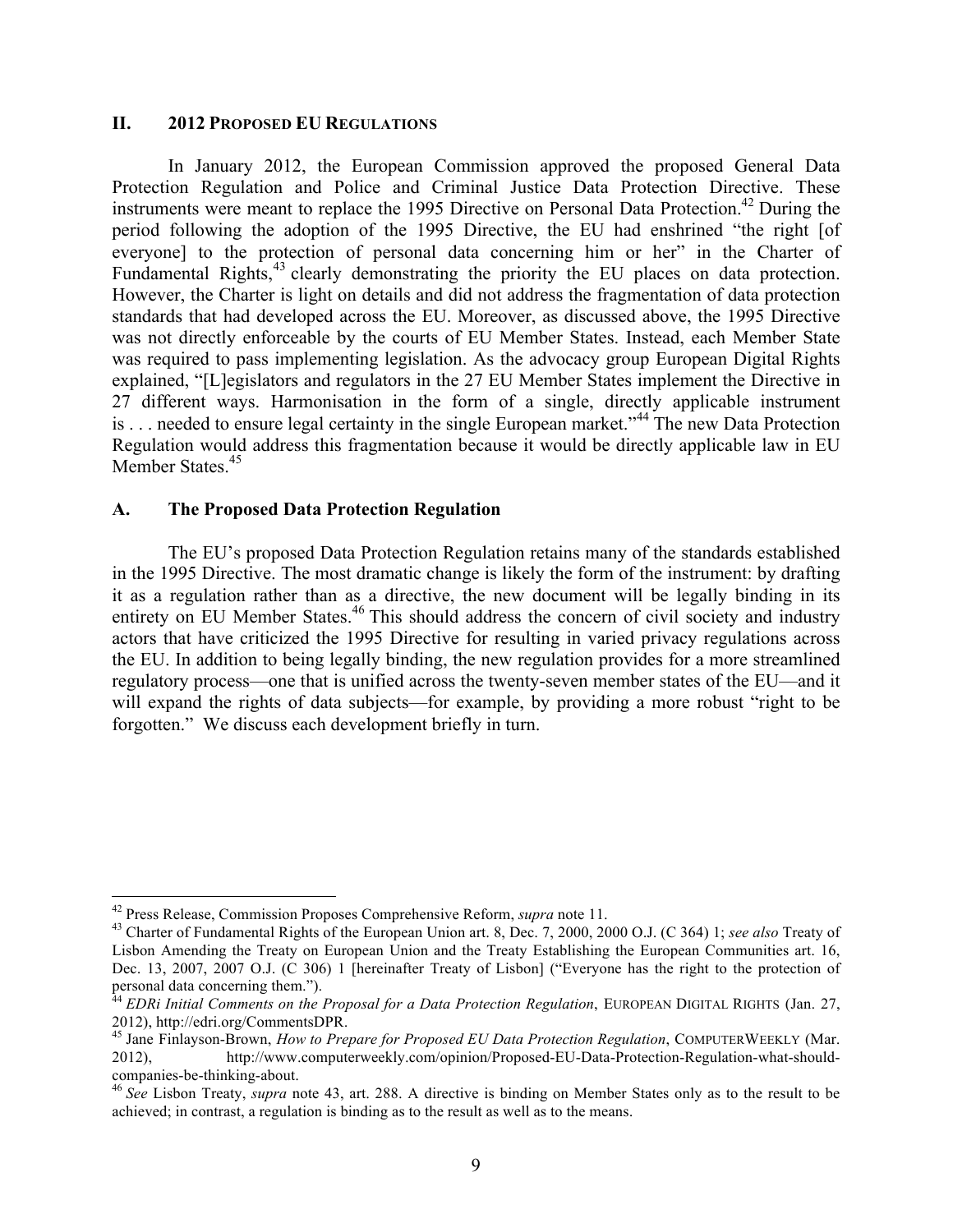#### **II. 2012 PROPOSED EU REGULATIONS**

In January 2012, the European Commission approved the proposed General Data Protection Regulation and Police and Criminal Justice Data Protection Directive. These instruments were meant to replace the 1995 Directive on Personal Data Protection. <sup>42</sup> During the period following the adoption of the 1995 Directive, the EU had enshrined "the right [of everyone] to the protection of personal data concerning him or her" in the Charter of Fundamental Rights,<sup>43</sup> clearly demonstrating the priority the EU places on data protection. However, the Charter is light on details and did not address the fragmentation of data protection standards that had developed across the EU. Moreover, as discussed above, the 1995 Directive was not directly enforceable by the courts of EU Member States. Instead, each Member State was required to pass implementing legislation. As the advocacy group European Digital Rights explained, "[L]egislators and regulators in the 27 EU Member States implement the Directive in 27 different ways. Harmonisation in the form of a single, directly applicable instrument is . . . needed to ensure legal certainty in the single European market."<sup>44</sup> The new Data Protection Regulation would address this fragmentation because it would be directly applicable law in EU Member States.<sup>45</sup>

#### **A. The Proposed Data Protection Regulation**

The EU's proposed Data Protection Regulation retains many of the standards established in the 1995 Directive. The most dramatic change is likely the form of the instrument: by drafting it as a regulation rather than as a directive, the new document will be legally binding in its entirety on EU Member States.<sup>46</sup> This should address the concern of civil society and industry actors that have criticized the 1995 Directive for resulting in varied privacy regulations across the EU. In addition to being legally binding, the new regulation provides for a more streamlined regulatory process—one that is unified across the twenty-seven member states of the EU—and it will expand the rights of data subjects—for example, by providing a more robust "right to be forgotten." We discuss each development briefly in turn.

<sup>&</sup>lt;sup>42</sup> Press Release, Commission Proposes Comprehensive Reform, *supra* note 11.<br><sup>43</sup> Charter of Fundamental Rights of the European Union art. 8, Dec. 7, 2000, 2000 O.J. (C 364) 1; *see also* Treaty of Lisbon Amending the Treaty on European Union and the Treaty Establishing the European Communities art. 16, Dec. 13, 2007, 2007 O.J. (C 306) 1 [hereinafter Treaty of Lisbon] ("Everyone has the right to the protection of personal data concerning them.").

<sup>&</sup>lt;sup>44</sup> *EDRi Initial Comments on the Proposal for a Data Protection Regulation*, EUROPEAN DIGITAL RIGHTS (Jan. 27, 2012), http://edri.org/CommentsDPR.

<sup>45</sup> Jane Finlayson-Brown, *How to Prepare for Proposed EU Data Protection Regulation*, COMPUTERWEEKLY (Mar. 2012), http://www.computerweekly.com/opinion/Proposed-EU-Data-Protection-Regulation-what-shouldcompanies-be-thinking-about.<br><sup>46</sup> *See* Lisbon Treaty, *supra* note 43, art. 288. A directive is binding on Member States only as to the result to be

achieved; in contrast, a regulation is binding as to the result as well as to the means.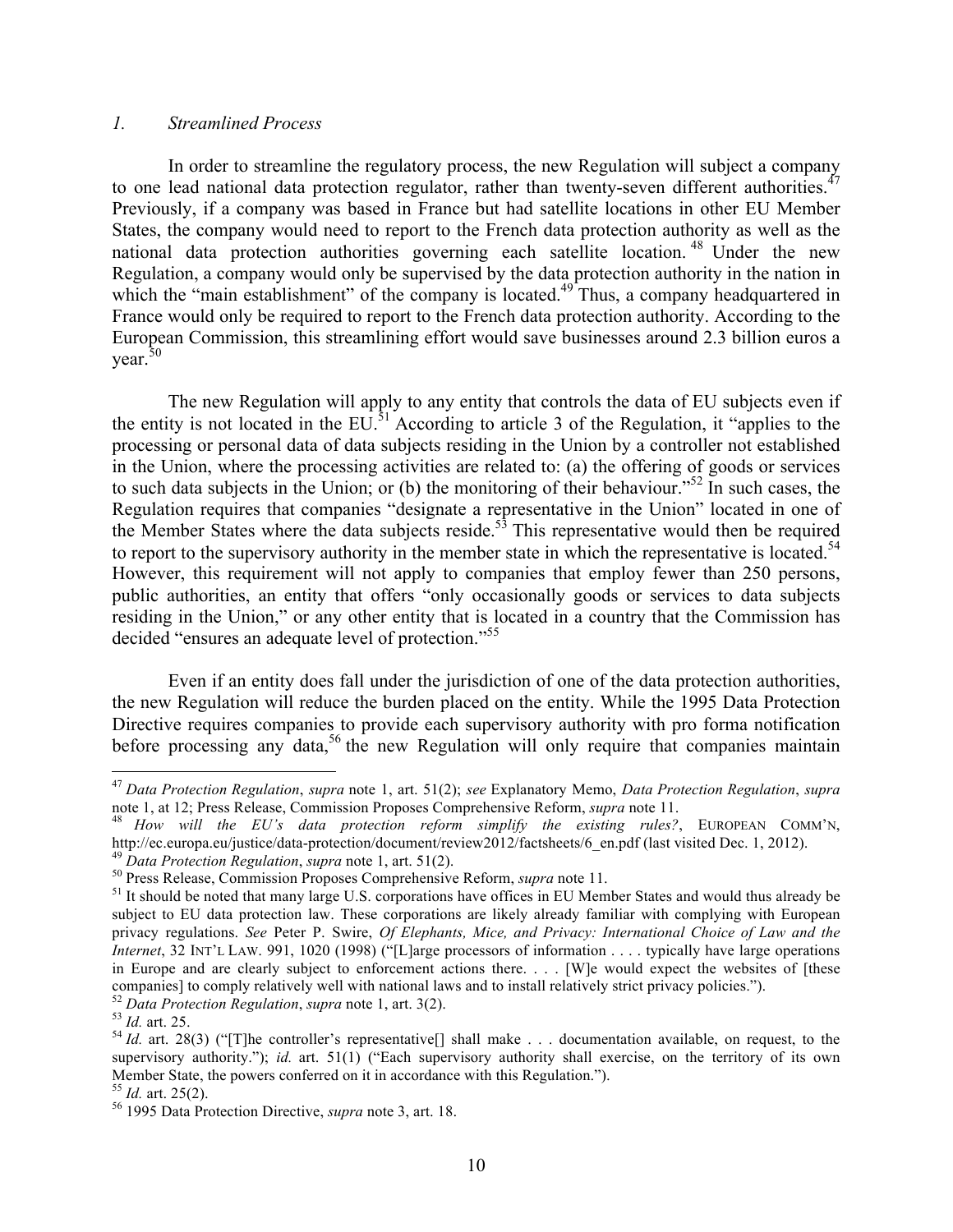### *1. Streamlined Process*

In order to streamline the regulatory process, the new Regulation will subject a company to one lead national data protection regulator, rather than twenty-seven different authorities.<sup>47</sup> Previously, if a company was based in France but had satellite locations in other EU Member States, the company would need to report to the French data protection authority as well as the national data protection authorities governing each satellite location.<sup>48</sup> Under the new Regulation, a company would only be supervised by the data protection authority in the nation in which the "main establishment" of the company is located.<sup>49</sup> Thus, a company headquartered in France would only be required to report to the French data protection authority. According to the European Commission, this streamlining effort would save businesses around 2.3 billion euros a  $year<sup>50</sup>$ 

The new Regulation will apply to any entity that controls the data of EU subjects even if the entity is not located in the  $EU^{\frac{51}{3}}$  According to article 3 of the Regulation, it "applies to the processing or personal data of data subjects residing in the Union by a controller not established in the Union, where the processing activities are related to: (a) the offering of goods or services to such data subjects in the Union; or (b) the monitoring of their behaviour."<sup>52</sup> In such cases, the Regulation requires that companies "designate a representative in the Union" located in one of the Member States where the data subjects reside.<sup>53</sup> This representative would then be required to report to the supervisory authority in the member state in which the representative is located.<sup>54</sup> However, this requirement will not apply to companies that employ fewer than 250 persons, public authorities, an entity that offers "only occasionally goods or services to data subjects residing in the Union," or any other entity that is located in a country that the Commission has decided "ensures an adequate level of protection."<sup>55</sup>

Even if an entity does fall under the jurisdiction of one of the data protection authorities, the new Regulation will reduce the burden placed on the entity. While the 1995 Data Protection Directive requires companies to provide each supervisory authority with pro forma notification before processing any data,<sup>56</sup> the new Regulation will only require that companies maintain

 <sup>47</sup> *Data Protection Regulation*, *supra* note 1, art. 51(2); *see* Explanatory Memo, *Data Protection Regulation*, *supra* 

<sup>&</sup>lt;sup>48</sup> How will the EU's data protection reform simplify the existing rules?, EUROPEAN COMM'N, http://ec.europa.eu/justice/data-protection/document/review2012/factsheets/6\_en.pdf (last visited Dec. 1, 2012).

<sup>&</sup>lt;sup>49</sup> Data Protection Regulation, supra note 1, art. 51(2).<br><sup>50</sup> Press Release, Commission Proposes Comprehensive Reform, *supra* note 11.<br><sup>51</sup> It should be noted that many large U.S. corporations have offices in EU Member subject to EU data protection law. These corporations are likely already familiar with complying with European privacy regulations. *See* Peter P. Swire, *Of Elephants, Mice, and Privacy: International Choice of Law and the Internet*, 32 INT'L LAW. 991, 1020 (1998) ("[L]arge processors of information . . . . typically have large operations in Europe and are clearly subject to enforcement actions there. . . . [W]e would expect the websites of [these companies] to comply relatively well with national laws and to install relatively strict privacy policies.").<br><sup>52</sup> Data Protection Regulation, supra note 1, art. 3(2).

<sup>52</sup> *Data Protection Regulation*, *supra* note 1, art. 3(2). <sup>53</sup> *Id.* art. 25. <sup>54</sup> *Id.* art. 28(3) ("[T]he controller's representative[] shall make . . . documentation available, on request, to the supervisory authority."); *id.* art. 51(1) ("Each supervisory authority shall exercise, on the territory of its own Member State, the powers conferred on it in accordance with this Regulation.").<sup>55</sup> *Id.* art. 25(2).

<sup>55</sup> *Id.* art. 25(2). <sup>56</sup> 1995 Data Protection Directive, *supra* note 3, art. 18.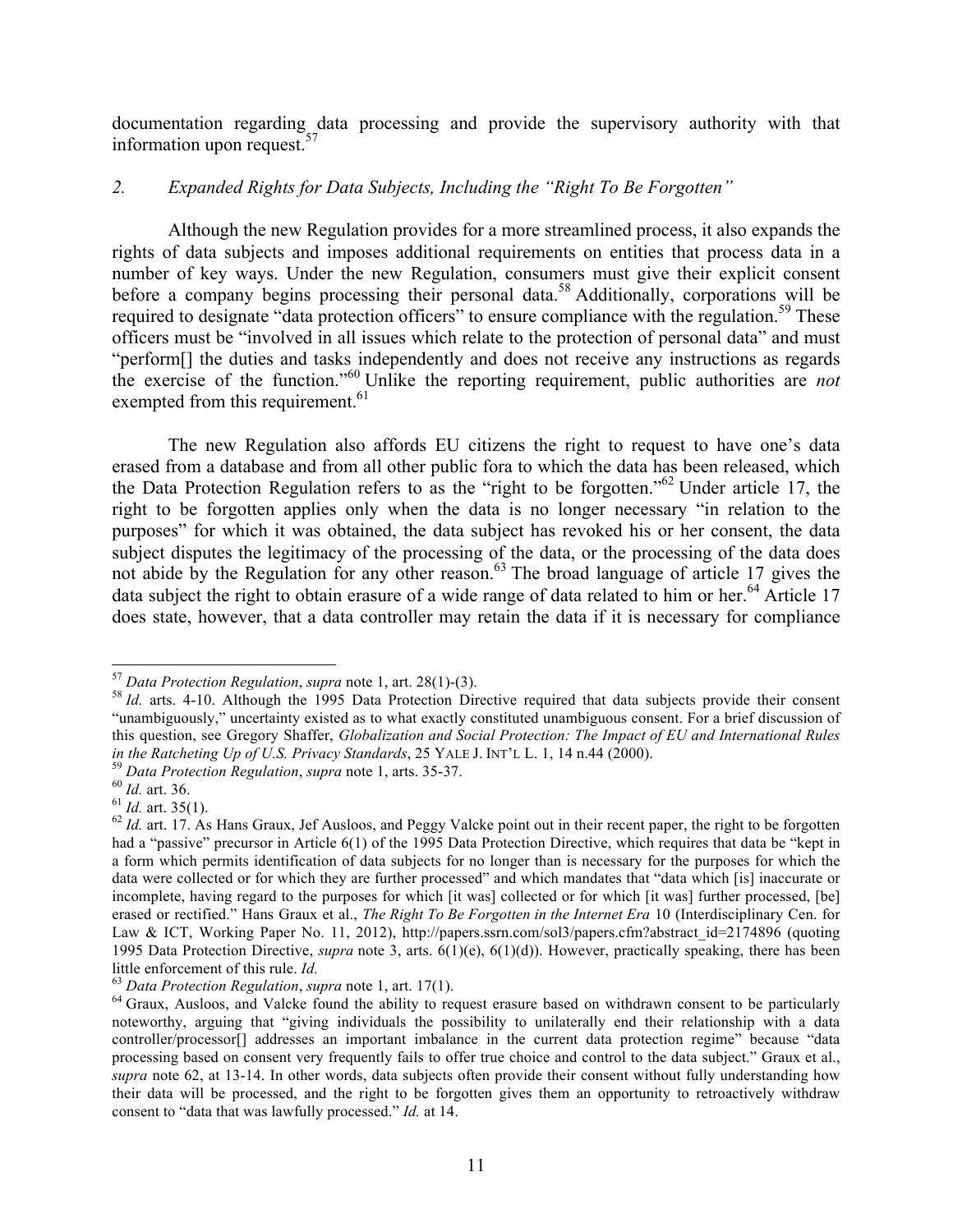documentation regarding data processing and provide the supervisory authority with that information upon request.<sup>57</sup>

### *2. Expanded Rights for Data Subjects, Including the "Right To Be Forgotten"*

Although the new Regulation provides for a more streamlined process, it also expands the rights of data subjects and imposes additional requirements on entities that process data in a number of key ways. Under the new Regulation, consumers must give their explicit consent before a company begins processing their personal data.<sup>58</sup> Additionally, corporations will be required to designate "data protection officers" to ensure compliance with the regulation.<sup>59</sup> These officers must be "involved in all issues which relate to the protection of personal data" and must "perform[] the duties and tasks independently and does not receive any instructions as regards the exercise of the function."<sup>60</sup> Unlike the reporting requirement, public authorities are *not* exempted from this requirement.<sup>61</sup>

The new Regulation also affords EU citizens the right to request to have one's data erased from a database and from all other public fora to which the data has been released, which the Data Protection Regulation refers to as the "right to be forgotten." <sup>62</sup> Under article 17, the right to be forgotten applies only when the data is no longer necessary "in relation to the purposes" for which it was obtained, the data subject has revoked his or her consent, the data subject disputes the legitimacy of the processing of the data, or the processing of the data does not abide by the Regulation for any other reason.<sup>63</sup> The broad language of article 17 gives the data subject the right to obtain erasure of a wide range of data related to him or her.<sup>64</sup> Article 17 does state, however, that a data controller may retain the data if it is necessary for compliance

<sup>&</sup>lt;sup>57</sup> *Data Protection Regulation, supra* note 1, art. 28(1)-(3).<br><sup>58</sup> *Id.* arts. 4-10. Although the 1995 Data Protection Directive required that data subjects provide their consent "unambiguously," uncertainty existed as to what exactly constituted unambiguous consent. For a brief discussion of this question, see Gregory Shaffer, *Globalization and Social Protection: The Impact of EU and International Rules in the Ratcheting Up of U.S. Privacy Standards, 25 YALE J. INT'L L. 1, 14 n.44 (2000).* 

<sup>&</sup>lt;sup>59</sup> Data Protection Regulation, supra note 1, arts. 35-37.<br><sup>60</sup> Id. art. 36.<br><sup>61</sup> Id. art. 35(1).<br><sup>62</sup> Id. art. 17. As Hans Graux, Jef Ausloos, and Peggy Valcke point out in their recent paper, the right to be forgotten had a "passive" precursor in Article 6(1) of the 1995 Data Protection Directive, which requires that data be "kept in a form which permits identification of data subjects for no longer than is necessary for the purposes for which the data were collected or for which they are further processed" and which mandates that "data which [is] inaccurate or incomplete, having regard to the purposes for which [it was] collected or for which [it was] further processed, [be] erased or rectified." Hans Graux et al., *The Right To Be Forgotten in the Internet Era* 10 (Interdisciplinary Cen. for Law & ICT, Working Paper No. 11, 2012), http://papers.ssrn.com/sol3/papers.cfm?abstract\_id=2174896 (quoting 1995 Data Protection Directive, *supra* note 3, arts. 6(1)(e), 6(1)(d)). However, practically speaking, there has been little enforcement of this rule. *Id.*<br><sup>63</sup> Data Protection Regulation, supra note 1, art. 17(1).<br><sup>64</sup> Graux, Ausloos, and Valcke found the ability to request erasure based on withdrawn consent to be particularly

noteworthy, arguing that "giving individuals the possibility to unilaterally end their relationship with a data controller/processor[] addresses an important imbalance in the current data protection regime" because "data processing based on consent very frequently fails to offer true choice and control to the data subject." Graux et al., *supra* note 62, at 13-14. In other words, data subjects often provide their consent without fully understanding how their data will be processed, and the right to be forgotten gives them an opportunity to retroactively withdraw consent to "data that was lawfully processed." *Id.* at 14.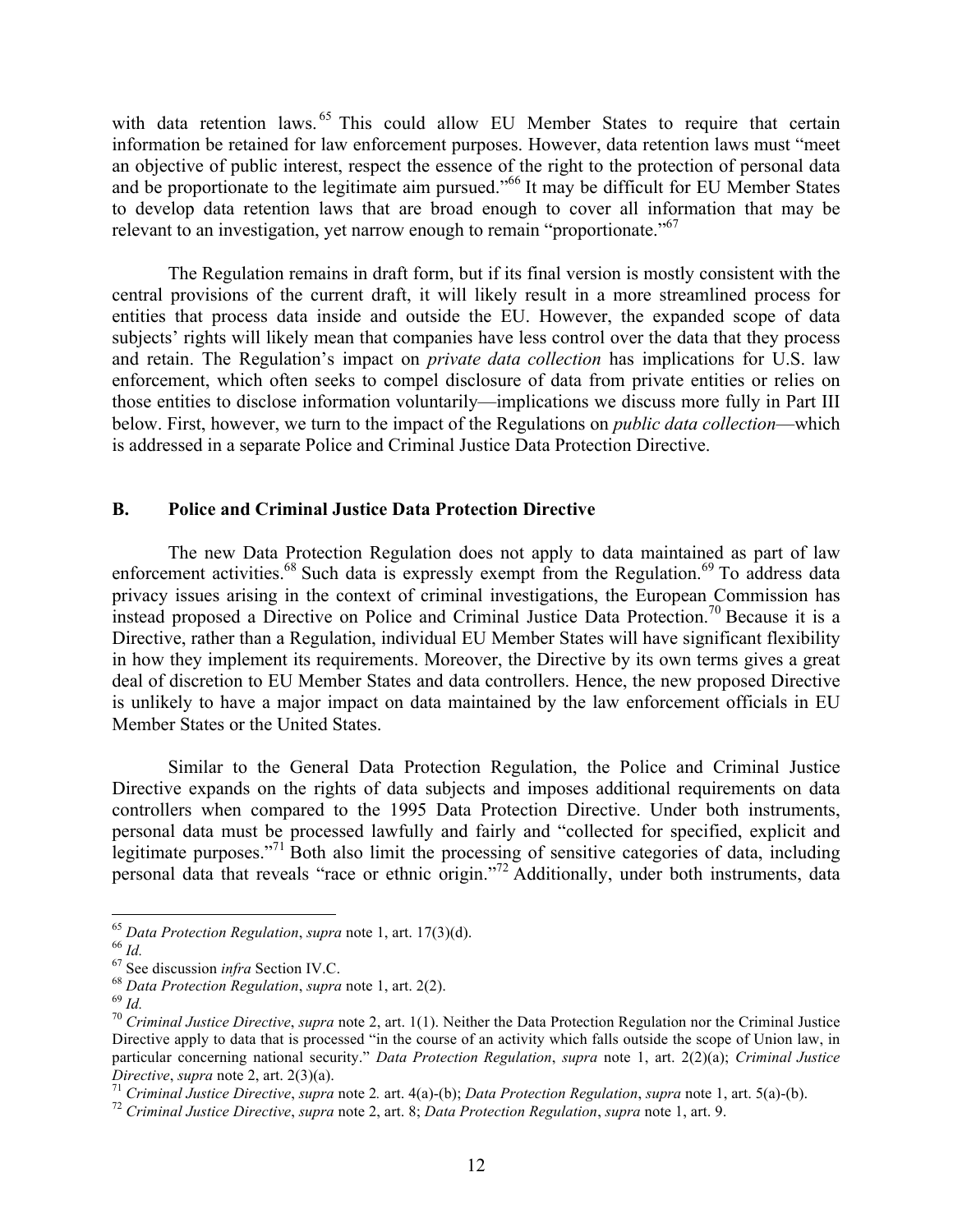with data retention laws.<sup>65</sup> This could allow EU Member States to require that certain information be retained for law enforcement purposes. However, data retention laws must "meet an objective of public interest, respect the essence of the right to the protection of personal data and be proportionate to the legitimate aim pursued."<sup>66</sup> It may be difficult for EU Member States to develop data retention laws that are broad enough to cover all information that may be relevant to an investigation, yet narrow enough to remain "proportionate."<sup>67</sup>

The Regulation remains in draft form, but if its final version is mostly consistent with the central provisions of the current draft, it will likely result in a more streamlined process for entities that process data inside and outside the EU. However, the expanded scope of data subjects' rights will likely mean that companies have less control over the data that they process and retain. The Regulation's impact on *private data collection* has implications for U.S. law enforcement, which often seeks to compel disclosure of data from private entities or relies on those entities to disclose information voluntarily—implications we discuss more fully in Part III below. First, however, we turn to the impact of the Regulations on *public data collection*—which is addressed in a separate Police and Criminal Justice Data Protection Directive.

#### **B. Police and Criminal Justice Data Protection Directive**

The new Data Protection Regulation does not apply to data maintained as part of law enforcement activities.<sup>68</sup> Such data is expressly exempt from the Regulation.<sup>69</sup> To address data privacy issues arising in the context of criminal investigations, the European Commission has instead proposed a Directive on Police and Criminal Justice Data Protection. <sup>70</sup> Because it is a Directive, rather than a Regulation, individual EU Member States will have significant flexibility in how they implement its requirements. Moreover, the Directive by its own terms gives a great deal of discretion to EU Member States and data controllers. Hence, the new proposed Directive is unlikely to have a major impact on data maintained by the law enforcement officials in EU Member States or the United States.

Similar to the General Data Protection Regulation, the Police and Criminal Justice Directive expands on the rights of data subjects and imposes additional requirements on data controllers when compared to the 1995 Data Protection Directive. Under both instruments, personal data must be processed lawfully and fairly and "collected for specified, explicit and legitimate purposes."<sup>71</sup> Both also limit the processing of sensitive categories of data, including personal data that reveals "race or ethnic origin."72 Additionally, under both instruments, data

<sup>&</sup>lt;sup>65</sup> Data Protection Regulation, supra note 1, art. 17(3)(d).<br><sup>66</sup> Id.<br><sup>67</sup> See discussion *infra* Section IV.C.<br><sup>68</sup> Data Protection Regulation, supra note 1, art. 2(2).<br><sup>69</sup> Id.<br><sup>70</sup> Criminal Justice Directive, supra no Directive apply to data that is processed "in the course of an activity which falls outside the scope of Union law, in particular concerning national security." *Data Protection Regulation*, *supra* note 1, art. 2(2)(a); *Criminal Justice*  Directive, supra note 2, art. 2(3)(a).<br>
<sup>71</sup> Criminal Justice Directive, supra note 2. art. 4(a)-(b); Data Protection Regulation, supra note 1, art. 5(a)-(b).<br>
<sup>72</sup> Criminal Justice Directive, supra note 2, art. 8; Data P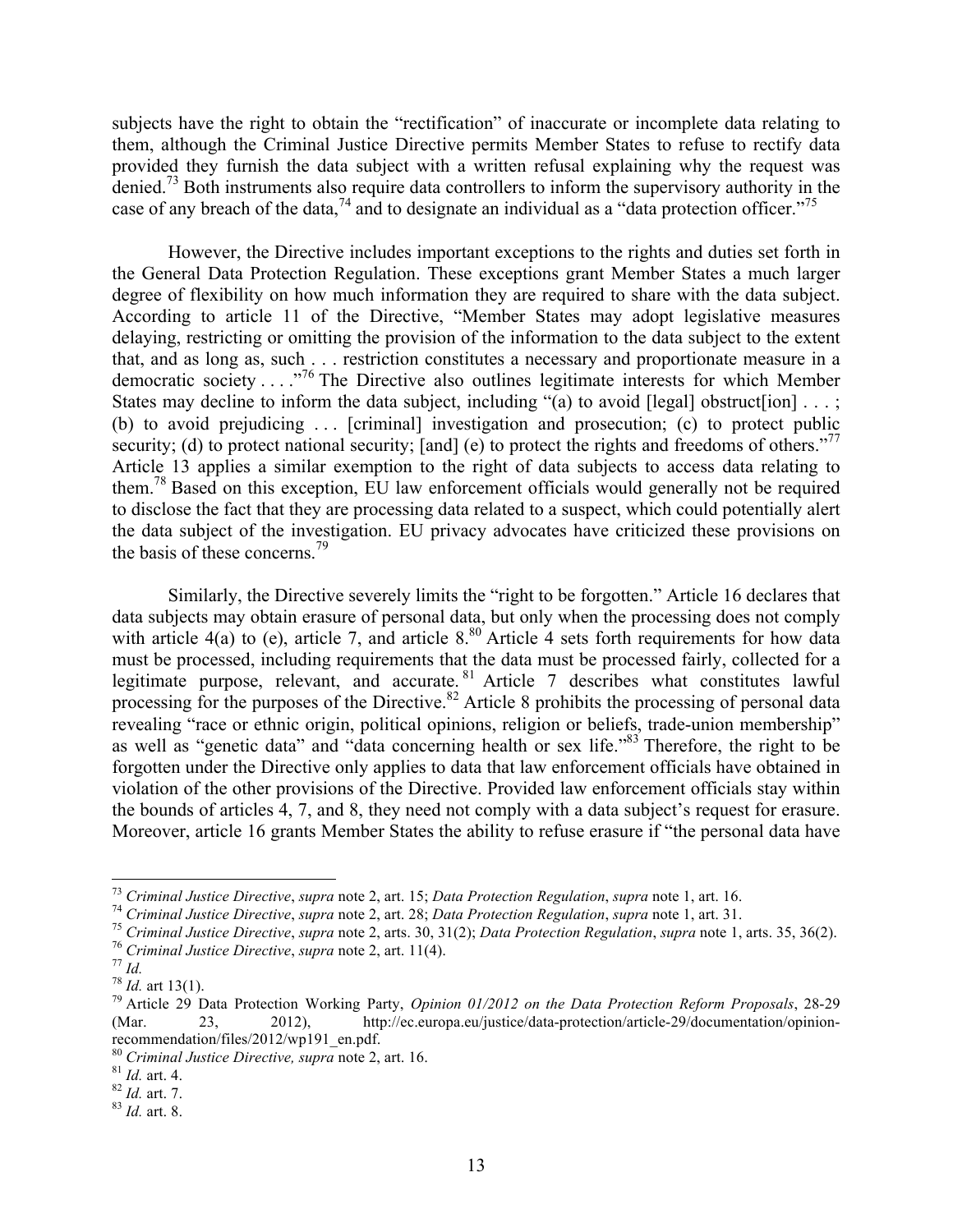subjects have the right to obtain the "rectification" of inaccurate or incomplete data relating to them, although the Criminal Justice Directive permits Member States to refuse to rectify data provided they furnish the data subject with a written refusal explaining why the request was denied.<sup>73</sup> Both instruments also require data controllers to inform the supervisory authority in the case of any breach of the data,  $74$  and to designate an individual as a "data protection officer."  $75$ 

However, the Directive includes important exceptions to the rights and duties set forth in the General Data Protection Regulation. These exceptions grant Member States a much larger degree of flexibility on how much information they are required to share with the data subject. According to article 11 of the Directive, "Member States may adopt legislative measures delaying, restricting or omitting the provision of the information to the data subject to the extent that, and as long as, such . . . restriction constitutes a necessary and proportionate measure in a democratic society . . . ."76 The Directive also outlines legitimate interests for which Member States may decline to inform the data subject, including "(a) to avoid [legal] obstruct [ion]  $\dots$ ; (b) to avoid prejudicing . . . [criminal] investigation and prosecution; (c) to protect public security; (d) to protect national security; [and] (e) to protect the rights and freedoms of others."<sup>77</sup> Article 13 applies a similar exemption to the right of data subjects to access data relating to them.78 Based on this exception, EU law enforcement officials would generally not be required to disclose the fact that they are processing data related to a suspect, which could potentially alert the data subject of the investigation. EU privacy advocates have criticized these provisions on the basis of these concerns. 79

Similarly, the Directive severely limits the "right to be forgotten." Article 16 declares that data subjects may obtain erasure of personal data, but only when the processing does not comply with article 4(a) to (e), article 7, and article 8.<sup>80</sup> Article 4 sets forth requirements for how data must be processed, including requirements that the data must be processed fairly, collected for a legitimate purpose, relevant, and accurate. <sup>81</sup> Article 7 describes what constitutes lawful processing for the purposes of the Directive.<sup>82</sup> Article 8 prohibits the processing of personal data revealing "race or ethnic origin, political opinions, religion or beliefs, trade-union membership" as well as "genetic data" and "data concerning health or sex life."83 Therefore, the right to be forgotten under the Directive only applies to data that law enforcement officials have obtained in violation of the other provisions of the Directive. Provided law enforcement officials stay within the bounds of articles 4, 7, and 8, they need not comply with a data subject's request for erasure. Moreover, article 16 grants Member States the ability to refuse erasure if "the personal data have

<sup>&</sup>lt;sup>73</sup> Criminal Justice Directive, supra note 2, art. 15; Data Protection Regulation, supra note 1, art. 16.<br><sup>74</sup> Criminal Justice Directive, supra note 2, art. 28; Data Protection Regulation, supra note 1, art. 31.<br><sup>75</sup> Cr

<sup>(</sup>Mar. 23, 2012), http://ec.europa.eu/justice/data-protection/article-29/documentation/opinionrecommendation/files/2012/wp191\_en.pdf.

<sup>80</sup> *Criminal Justice Directive, supra* note 2, art. 16. <sup>81</sup> *Id.* art. 4. <sup>82</sup> *Id.* art. 7. <sup>83</sup> *Id.* art. 8.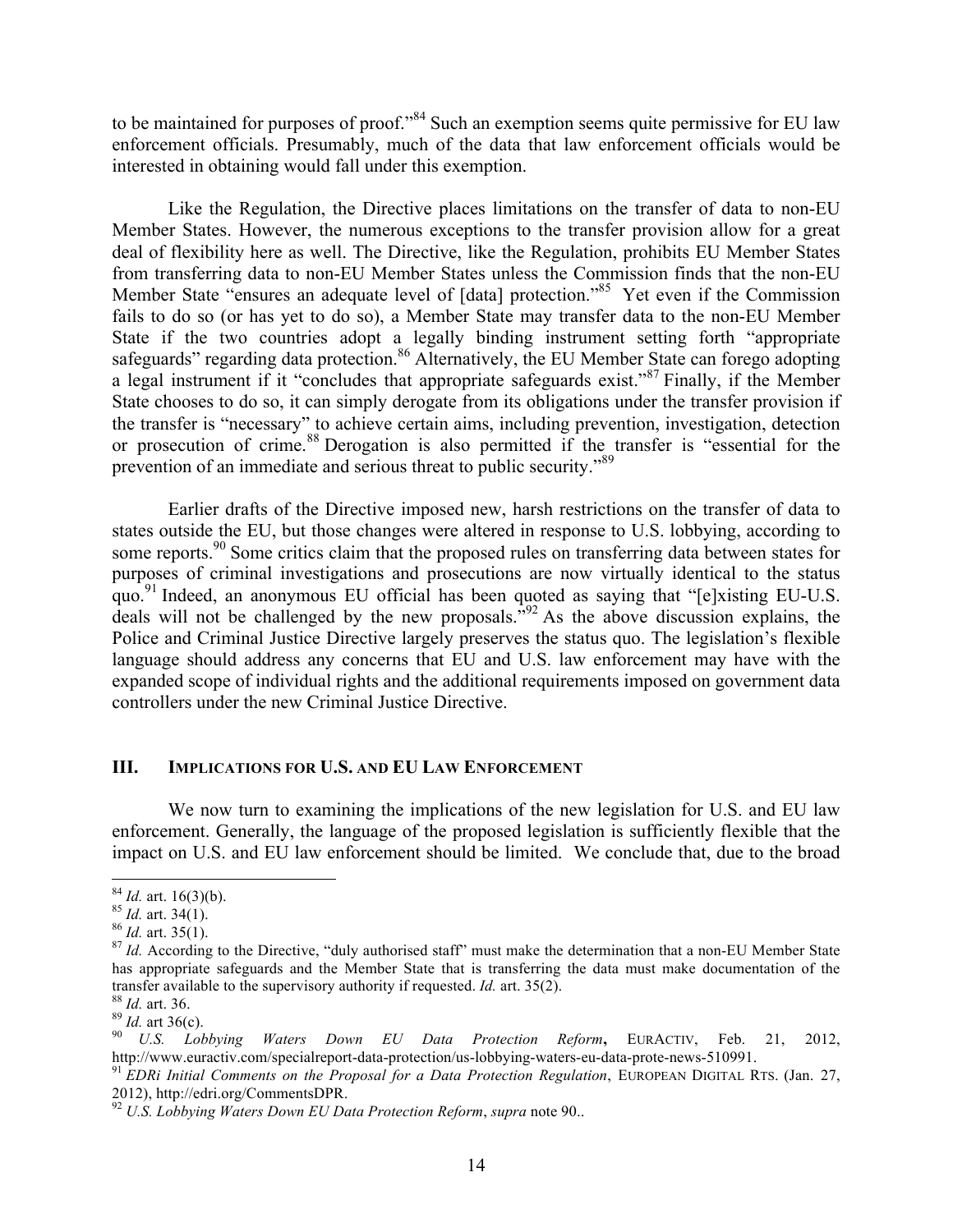to be maintained for purposes of proof."<sup>84</sup> Such an exemption seems quite permissive for EU law enforcement officials. Presumably, much of the data that law enforcement officials would be interested in obtaining would fall under this exemption.

Like the Regulation, the Directive places limitations on the transfer of data to non-EU Member States. However, the numerous exceptions to the transfer provision allow for a great deal of flexibility here as well. The Directive, like the Regulation, prohibits EU Member States from transferring data to non-EU Member States unless the Commission finds that the non-EU Member State "ensures an adequate level of [data] protection."<sup>85</sup> Yet even if the Commission fails to do so (or has yet to do so), a Member State may transfer data to the non-EU Member State if the two countries adopt a legally binding instrument setting forth "appropriate safeguards" regarding data protection.<sup>86</sup> Alternatively, the EU Member State can forego adopting a legal instrument if it "concludes that appropriate safeguards exist."<sup>87</sup> Finally, if the Member State chooses to do so, it can simply derogate from its obligations under the transfer provision if the transfer is "necessary" to achieve certain aims, including prevention, investigation, detection or prosecution of crime.<sup>88</sup> Derogation is also permitted if the transfer is "essential for the prevention of an immediate and serious threat to public security."<sup>89</sup>

Earlier drafts of the Directive imposed new, harsh restrictions on the transfer of data to states outside the EU, but those changes were altered in response to U.S. lobbying, according to some reports.<sup>90</sup> Some critics claim that the proposed rules on transferring data between states for purposes of criminal investigations and prosecutions are now virtually identical to the status quo.<sup>91</sup> Indeed, an anonymous EU official has been quoted as saying that "[e]xisting EU-U.S. deals will not be challenged by the new proposals.<sup>"92</sup> As the above discussion explains, the Police and Criminal Justice Directive largely preserves the status quo. The legislation's flexible language should address any concerns that EU and U.S. law enforcement may have with the expanded scope of individual rights and the additional requirements imposed on government data controllers under the new Criminal Justice Directive.

### **III. IMPLICATIONS FOR U.S. AND EU LAW ENFORCEMENT**

We now turn to examining the implications of the new legislation for U.S. and EU law enforcement. Generally, the language of the proposed legislation is sufficiently flexible that the impact on U.S. and EU law enforcement should be limited. We conclude that, due to the broad

<sup>&</sup>lt;sup>84</sup> *Id.* art. 16(3)(b).<br><sup>85</sup> *Id.* art. 34(1).<br><sup>86</sup> *Id.* art. 35(1).<br><sup>87</sup> *Id.* According to the Directive, "duly authorised staff" must make the determination that a non-EU Member State has appropriate safeguards and the Member State that is transferring the data must make documentation of the

transfer available to the supervisory authority if requested. *Id.* art. 35(2).<br><sup>88</sup> *Id.* art. 36.<br><sup>89</sup> *Id.* art 36(c).<br><sup>90</sup> *U.S. Lobbying Waters Down EU Data Protection Reform*, EURACTIV, Feb. 21, 2012,<br>http://www.e

<sup>&</sup>lt;sup>91</sup> EDRi Initial Comments on the Proposal for a Data Protection Regulation, EUROPEAN DIGITAL RTS. (Jan. 27, 2012), http://edri.org/CommentsDPR. <sup>92</sup> *U.S. Lobbying Waters Down EU Data Protection Reform*, *supra* note 90..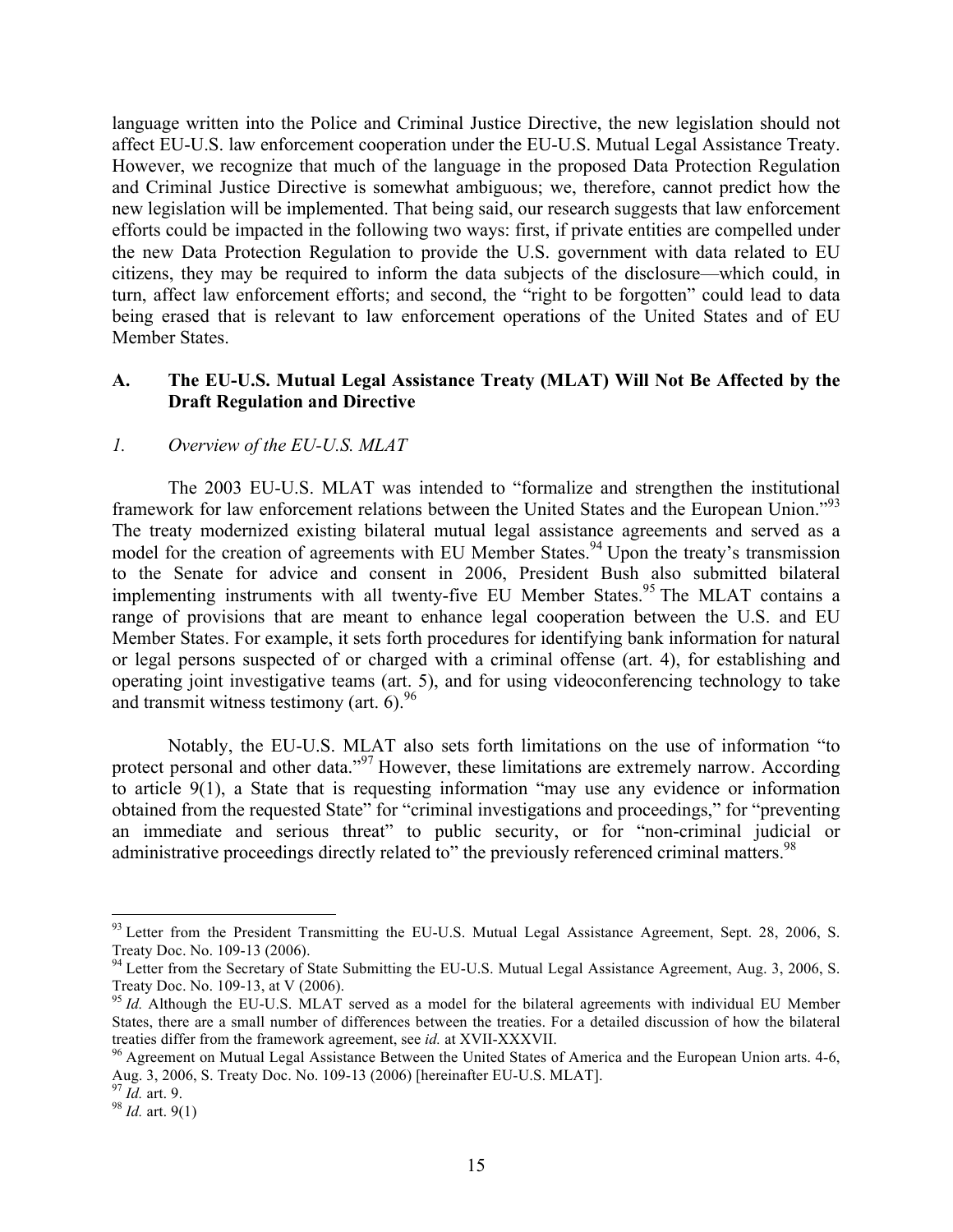language written into the Police and Criminal Justice Directive, the new legislation should not affect EU-U.S. law enforcement cooperation under the EU-U.S. Mutual Legal Assistance Treaty. However, we recognize that much of the language in the proposed Data Protection Regulation and Criminal Justice Directive is somewhat ambiguous; we, therefore, cannot predict how the new legislation will be implemented. That being said, our research suggests that law enforcement efforts could be impacted in the following two ways: first, if private entities are compelled under the new Data Protection Regulation to provide the U.S. government with data related to EU citizens, they may be required to inform the data subjects of the disclosure—which could, in turn, affect law enforcement efforts; and second, the "right to be forgotten" could lead to data being erased that is relevant to law enforcement operations of the United States and of EU Member States.

### **A. The EU-U.S. Mutual Legal Assistance Treaty (MLAT) Will Not Be Affected by the Draft Regulation and Directive**

### *1. Overview of the EU-U.S. MLAT*

The 2003 EU-U.S. MLAT was intended to "formalize and strengthen the institutional framework for law enforcement relations between the United States and the European Union."<sup>93</sup> The treaty modernized existing bilateral mutual legal assistance agreements and served as a model for the creation of agreements with EU Member States.<sup>94</sup> Upon the treaty's transmission to the Senate for advice and consent in 2006, President Bush also submitted bilateral implementing instruments with all twenty-five EU Member States.<sup>95</sup> The MLAT contains a range of provisions that are meant to enhance legal cooperation between the U.S. and EU Member States. For example, it sets forth procedures for identifying bank information for natural or legal persons suspected of or charged with a criminal offense (art. 4), for establishing and operating joint investigative teams (art. 5), and for using videoconferencing technology to take and transmit witness testimony (art.  $6$ ).<sup>96</sup>

Notably, the EU-U.S. MLAT also sets forth limitations on the use of information "to protect personal and other data."<sup>97</sup> However, these limitations are extremely narrow. According to article 9(1), a State that is requesting information "may use any evidence or information obtained from the requested State" for "criminal investigations and proceedings," for "preventing an immediate and serious threat" to public security, or for "non-criminal judicial or administrative proceedings directly related to" the previously referenced criminal matters.<sup>98</sup>

<sup>&</sup>lt;sup>93</sup> Letter from the President Transmitting the EU-U.S. Mutual Legal Assistance Agreement, Sept. 28, 2006, S. Treaty Doc. No. 109-13 (2006).

<sup>&</sup>lt;sup>94</sup> Letter from the Secretary of State Submitting the EU-U.S. Mutual Legal Assistance Agreement, Aug. 3, 2006, S. Treaty Doc. No. 109-13, at V (2006).<br><sup>95</sup> *Id.* Although the EU-U.S. MLAT served as a model for the bilateral agreements with individual EU Member

States, there are a small number of differences between the treaties. For a detailed discussion of how the bilateral treaties differ from the framework agreement, see *id.* at XVII-XXXVII.<br><sup>96</sup> Agreement on Mutual Legal Assistance Between the United States of America and the European Union arts. 4-6,

Aug. 3, 2006, S. Treaty Doc. No. 109-13 (2006) [hereinafter EU-U.S. MLAT].<br><sup>97</sup> *Id.* art. 9.<br><sup>98</sup> *Id.* art. 9(1)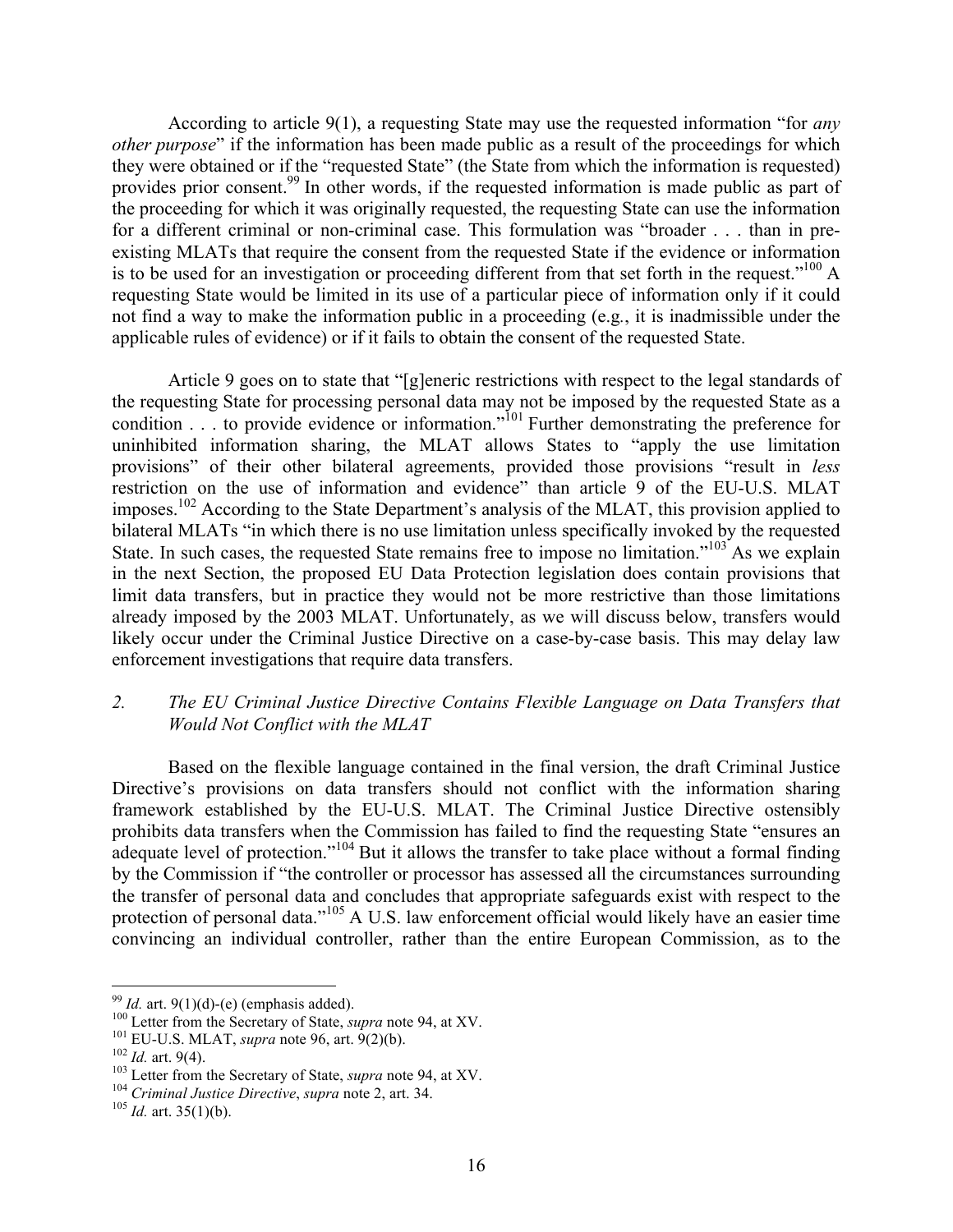According to article 9(1), a requesting State may use the requested information "for *any other purpose*" if the information has been made public as a result of the proceedings for which they were obtained or if the "requested State" (the State from which the information is requested) provides prior consent.<sup>99</sup> In other words, if the requested information is made public as part of the proceeding for which it was originally requested, the requesting State can use the information for a different criminal or non-criminal case. This formulation was "broader . . . than in preexisting MLATs that require the consent from the requested State if the evidence or information is to be used for an investigation or proceeding different from that set forth in the request."<sup>100</sup> A requesting State would be limited in its use of a particular piece of information only if it could not find a way to make the information public in a proceeding (e.g*.*, it is inadmissible under the applicable rules of evidence) or if it fails to obtain the consent of the requested State.

Article 9 goes on to state that "[g]eneric restrictions with respect to the legal standards of the requesting State for processing personal data may not be imposed by the requested State as a condition  $\ldots$  to provide evidence or information.<sup> $101$ </sup> Further demonstrating the preference for uninhibited information sharing, the MLAT allows States to "apply the use limitation provisions" of their other bilateral agreements, provided those provisions "result in *less* restriction on the use of information and evidence" than article 9 of the EU-U.S. MLAT imposes.<sup>102</sup> According to the State Department's analysis of the MLAT, this provision applied to bilateral MLATs "in which there is no use limitation unless specifically invoked by the requested State. In such cases, the requested State remains free to impose no limitation."<sup>103</sup> As we explain in the next Section, the proposed EU Data Protection legislation does contain provisions that limit data transfers, but in practice they would not be more restrictive than those limitations already imposed by the 2003 MLAT. Unfortunately, as we will discuss below, transfers would likely occur under the Criminal Justice Directive on a case-by-case basis. This may delay law enforcement investigations that require data transfers.

## *2. The EU Criminal Justice Directive Contains Flexible Language on Data Transfers that Would Not Conflict with the MLAT*

Based on the flexible language contained in the final version, the draft Criminal Justice Directive's provisions on data transfers should not conflict with the information sharing framework established by the EU-U.S. MLAT. The Criminal Justice Directive ostensibly prohibits data transfers when the Commission has failed to find the requesting State "ensures an adequate level of protection."<sup>104</sup> But it allows the transfer to take place without a formal finding by the Commission if "the controller or processor has assessed all the circumstances surrounding the transfer of personal data and concludes that appropriate safeguards exist with respect to the protection of personal data."<sup>105</sup> A U.S. law enforcement official would likely have an easier time convincing an individual controller, rather than the entire European Commission, as to the

<sup>&</sup>lt;sup>99</sup> *Id.* art. 9(1)(d)-(e) (emphasis added).<br><sup>100</sup> Letter from the Secretary of State, *supra* note 94, at XV.<br><sup>101</sup> EU-U.S. MLAT, *supra* note 96, art. 9(2)(b).<br><sup>102</sup> *Id.* art. 9(4).<br><sup>103</sup> Letter from the Secretary of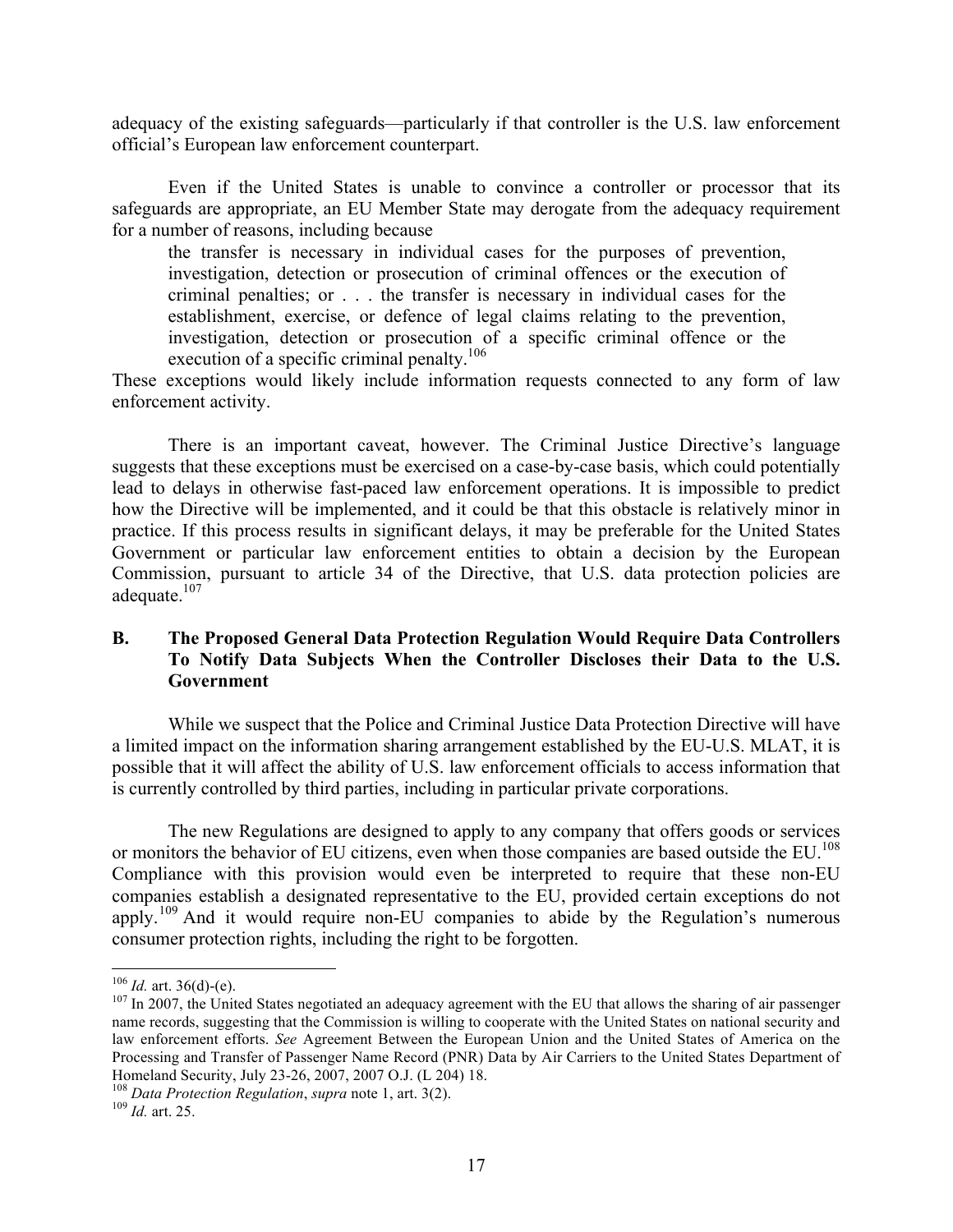adequacy of the existing safeguards—particularly if that controller is the U.S. law enforcement official's European law enforcement counterpart.

Even if the United States is unable to convince a controller or processor that its safeguards are appropriate, an EU Member State may derogate from the adequacy requirement for a number of reasons, including because

the transfer is necessary in individual cases for the purposes of prevention, investigation, detection or prosecution of criminal offences or the execution of criminal penalties; or . . . the transfer is necessary in individual cases for the establishment, exercise, or defence of legal claims relating to the prevention, investigation, detection or prosecution of a specific criminal offence or the execution of a specific criminal penalty.<sup>106</sup>

These exceptions would likely include information requests connected to any form of law enforcement activity.

There is an important caveat, however. The Criminal Justice Directive's language suggests that these exceptions must be exercised on a case-by-case basis, which could potentially lead to delays in otherwise fast-paced law enforcement operations. It is impossible to predict how the Directive will be implemented, and it could be that this obstacle is relatively minor in practice. If this process results in significant delays, it may be preferable for the United States Government or particular law enforcement entities to obtain a decision by the European Commission, pursuant to article 34 of the Directive, that U.S. data protection policies are adequate.<sup>107</sup>

## **B. The Proposed General Data Protection Regulation Would Require Data Controllers To Notify Data Subjects When the Controller Discloses their Data to the U.S. Government**

While we suspect that the Police and Criminal Justice Data Protection Directive will have a limited impact on the information sharing arrangement established by the EU-U.S. MLAT, it is possible that it will affect the ability of U.S. law enforcement officials to access information that is currently controlled by third parties, including in particular private corporations.

The new Regulations are designed to apply to any company that offers goods or services or monitors the behavior of EU citizens, even when those companies are based outside the EU. 108 Compliance with this provision would even be interpreted to require that these non-EU companies establish a designated representative to the EU, provided certain exceptions do not apply.<sup>109</sup> And it would require non-EU companies to abide by the Regulation's numerous consumer protection rights, including the right to be forgotten.

<sup>&</sup>lt;sup>106</sup> *Id.* art. 36(d)-(e).<br><sup>107</sup> In 2007, the United States negotiated an adequacy agreement with the EU that allows the sharing of air passenger name records, suggesting that the Commission is willing to cooperate with the United States on national security and law enforcement efforts. *See* Agreement Between the European Union and the United States of America on the Processing and Transfer of Passenger Name Record (PNR) Data by Air Carriers to the United States Department of Homeland Security, July 23-26, 2007, 2007 O.J. (L 204) 18.

<sup>&</sup>lt;sup>108</sup> Data Protection Regulation, *supra* note 1, art. 3(2). <sup>109</sup> *Id.* art. 25.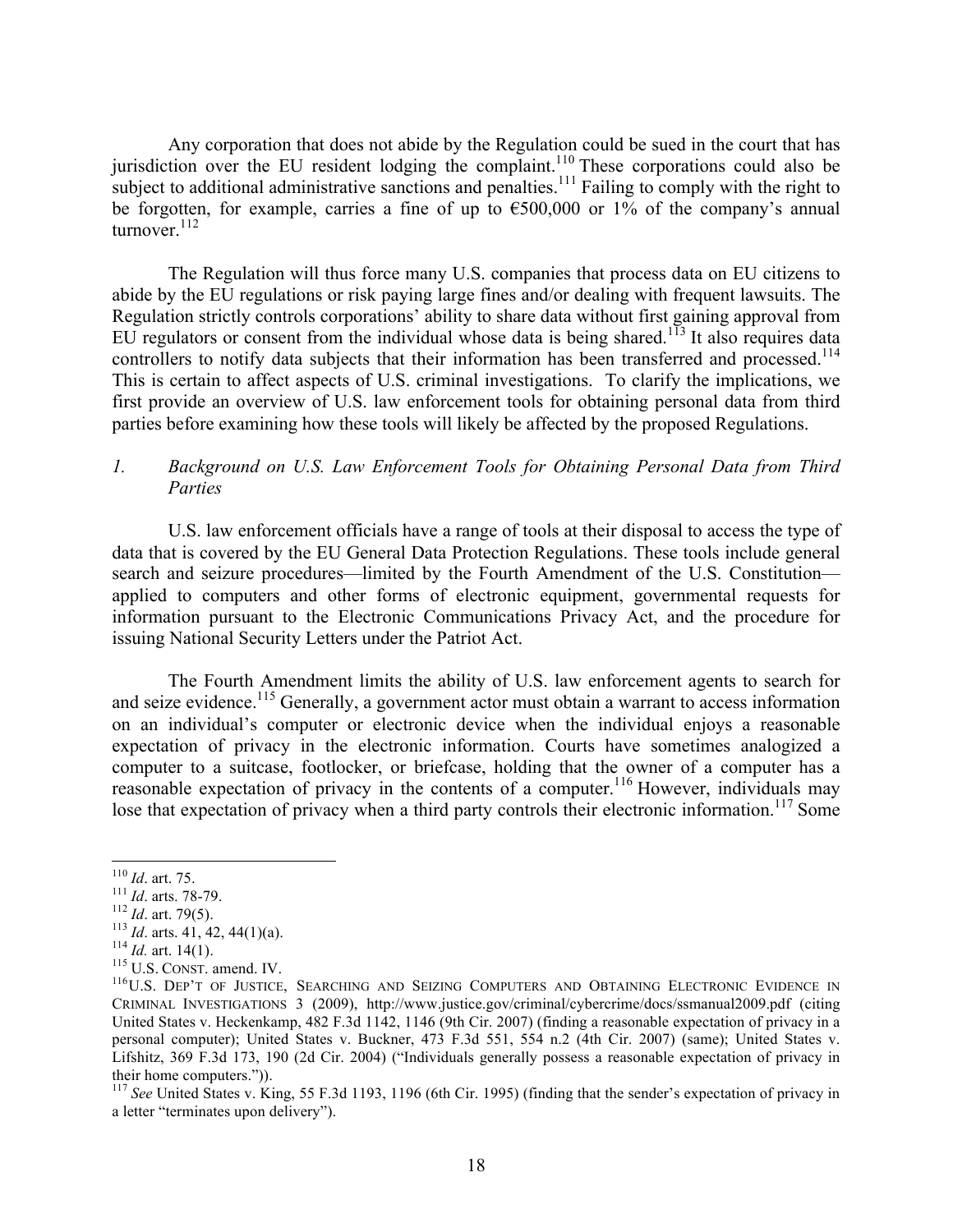Any corporation that does not abide by the Regulation could be sued in the court that has jurisdiction over the EU resident lodging the complaint.<sup>110</sup> These corporations could also be subject to additional administrative sanctions and penalties.<sup>111</sup> Failing to comply with the right to be forgotten, for example, carries a fine of up to  $\epsilon$ 500,000 or 1% of the company's annual turnover. $112$ 

The Regulation will thus force many U.S. companies that process data on EU citizens to abide by the EU regulations or risk paying large fines and/or dealing with frequent lawsuits. The Regulation strictly controls corporations' ability to share data without first gaining approval from EU regulators or consent from the individual whose data is being shared.<sup>113</sup> It also requires data controllers to notify data subjects that their information has been transferred and processed.<sup>114</sup> This is certain to affect aspects of U.S. criminal investigations. To clarify the implications, we first provide an overview of U.S. law enforcement tools for obtaining personal data from third parties before examining how these tools will likely be affected by the proposed Regulations.

## *1. Background on U.S. Law Enforcement Tools for Obtaining Personal Data from Third Parties*

U.S. law enforcement officials have a range of tools at their disposal to access the type of data that is covered by the EU General Data Protection Regulations. These tools include general search and seizure procedures—limited by the Fourth Amendment of the U.S. Constitution applied to computers and other forms of electronic equipment, governmental requests for information pursuant to the Electronic Communications Privacy Act, and the procedure for issuing National Security Letters under the Patriot Act.

The Fourth Amendment limits the ability of U.S. law enforcement agents to search for and seize evidence.<sup>115</sup> Generally, a government actor must obtain a warrant to access information on an individual's computer or electronic device when the individual enjoys a reasonable expectation of privacy in the electronic information. Courts have sometimes analogized a computer to a suitcase, footlocker, or briefcase, holding that the owner of a computer has a reasonable expectation of privacy in the contents of a computer.<sup>116</sup> However, individuals may lose that expectation of privacy when a third party controls their electronic information.<sup>117</sup> Some

<sup>&</sup>lt;sup>110</sup> *Id.* art. 75.<br>
<sup>111</sup> *Id.* arts. 78-79.<br>
<sup>112</sup> *Id.* art. 79(5).<br>
<sup>113</sup> *Id.* arts. 41, 42, 44(1)(a).<br>
<sup>114</sup> *Id.* art. 14(1).<br>
<sup>114</sup> *Id.* art. 14(1).<br>
<sup>115</sup> U.S. CONST. amend. IV.<br>
<sup>116</sup> U.S. DEP'T OF JUSTICE, SE CRIMINAL INVESTIGATIONS 3 (2009), http://www.justice.gov/criminal/cybercrime/docs/ssmanual2009.pdf (citing United States v. Heckenkamp, 482 F.3d 1142, 1146 (9th Cir. 2007) (finding a reasonable expectation of privacy in a personal computer); United States v. Buckner, 473 F.3d 551, 554 n.2 (4th Cir. 2007) (same); United States v. Lifshitz, 369 F.3d 173, 190 (2d Cir. 2004) ("Individuals generally possess a reasonable expectation of privacy in their home computers.")).

<sup>&</sup>lt;sup>117</sup> See United States v. King, 55 F.3d 1193, 1196 (6th Cir. 1995) (finding that the sender's expectation of privacy in a letter "terminates upon delivery").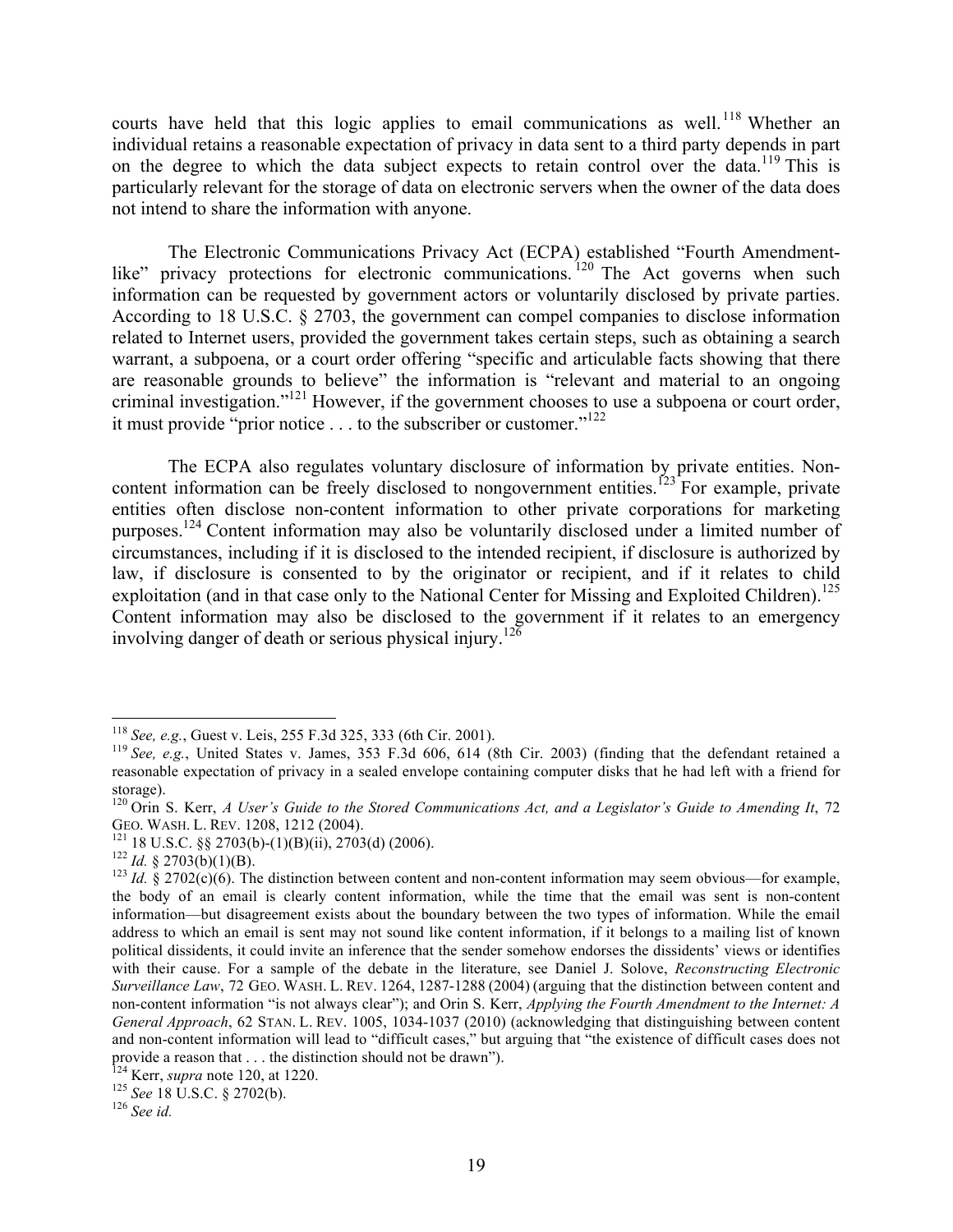courts have held that this logic applies to email communications as well.<sup>118</sup> Whether an individual retains a reasonable expectation of privacy in data sent to a third party depends in part on the degree to which the data subject expects to retain control over the data.<sup>119</sup> This is particularly relevant for the storage of data on electronic servers when the owner of the data does not intend to share the information with anyone.

The Electronic Communications Privacy Act (ECPA) established "Fourth Amendmentlike" privacy protections for electronic communications.<sup>120</sup> The Act governs when such information can be requested by government actors or voluntarily disclosed by private parties. According to 18 U.S.C. § 2703, the government can compel companies to disclose information related to Internet users, provided the government takes certain steps, such as obtaining a search warrant, a subpoena, or a court order offering "specific and articulable facts showing that there are reasonable grounds to believe" the information is "relevant and material to an ongoing criminal investigation."121 However, if the government chooses to use a subpoena or court order, it must provide "prior notice . . . to the subscriber or customer."<sup>122</sup>

The ECPA also regulates voluntary disclosure of information by private entities. Noncontent information can be freely disclosed to nongovernment entities.<sup> $123$ </sup> For example, private entities often disclose non-content information to other private corporations for marketing purposes.124 Content information may also be voluntarily disclosed under a limited number of circumstances, including if it is disclosed to the intended recipient, if disclosure is authorized by law, if disclosure is consented to by the originator or recipient, and if it relates to child exploitation (and in that case only to the National Center for Missing and Exploited Children).<sup>125</sup> Content information may also be disclosed to the government if it relates to an emergency involving danger of death or serious physical injury.<sup>126</sup>

<sup>&</sup>lt;sup>118</sup> *See, e.g.*, Guest v. Leis, 255 F.3d 325, 333 (6th Cir. 2001).<br><sup>119</sup> *See, e.g.*, United States v. James, 353 F.3d 606, 614 (8th Cir. 2003) (finding that the defendant retained a reasonable expectation of privacy in a sealed envelope containing computer disks that he had left with a friend for storage).

<sup>120</sup> Orin S. Kerr, *A User's Guide to the Stored Communications Act, and a Legislator's Guide to Amending It*, 72<br>GEO. WASH. L. REV. 1208, 1212 (2004).

<sup>&</sup>lt;sup>121</sup> 18 U.S.C. §§ 2703(b)-(1)(B)(ii), 2703(d) (2006).<br><sup>122</sup> *Id.* § 2703(b)(1)(B).<br><sup>122</sup> *Id.* § 2703(b)(1)(B).<br><sup>123</sup> *Id.* § 2702(c)(6). The distinction between content and non-content information may seem obvious—for e the body of an email is clearly content information, while the time that the email was sent is non-content information—but disagreement exists about the boundary between the two types of information. While the email address to which an email is sent may not sound like content information, if it belongs to a mailing list of known political dissidents, it could invite an inference that the sender somehow endorses the dissidents' views or identifies with their cause. For a sample of the debate in the literature, see Daniel J. Solove, *Reconstructing Electronic Surveillance Law*, 72 GEO. WASH. L. REV. 1264, 1287-1288 (2004) (arguing that the distinction between content and non-content information "is not always clear"); and Orin S. Kerr, *Applying the Fourth Amendment to the Internet: A General Approach*, 62 STAN. L. REV. 1005, 1034-1037 (2010) (acknowledging that distinguishing between content and non-content information will lead to "difficult cases," but arguing that "the existence of difficult cases does not provide a reason that . . . the distinction should not be drawn").<br><sup>124</sup> Kerr, *supra* note 120, at 1220.<br><sup>125</sup> *See* 18 U.S.C. § 2702(b).<br><sup>126</sup> *See id.*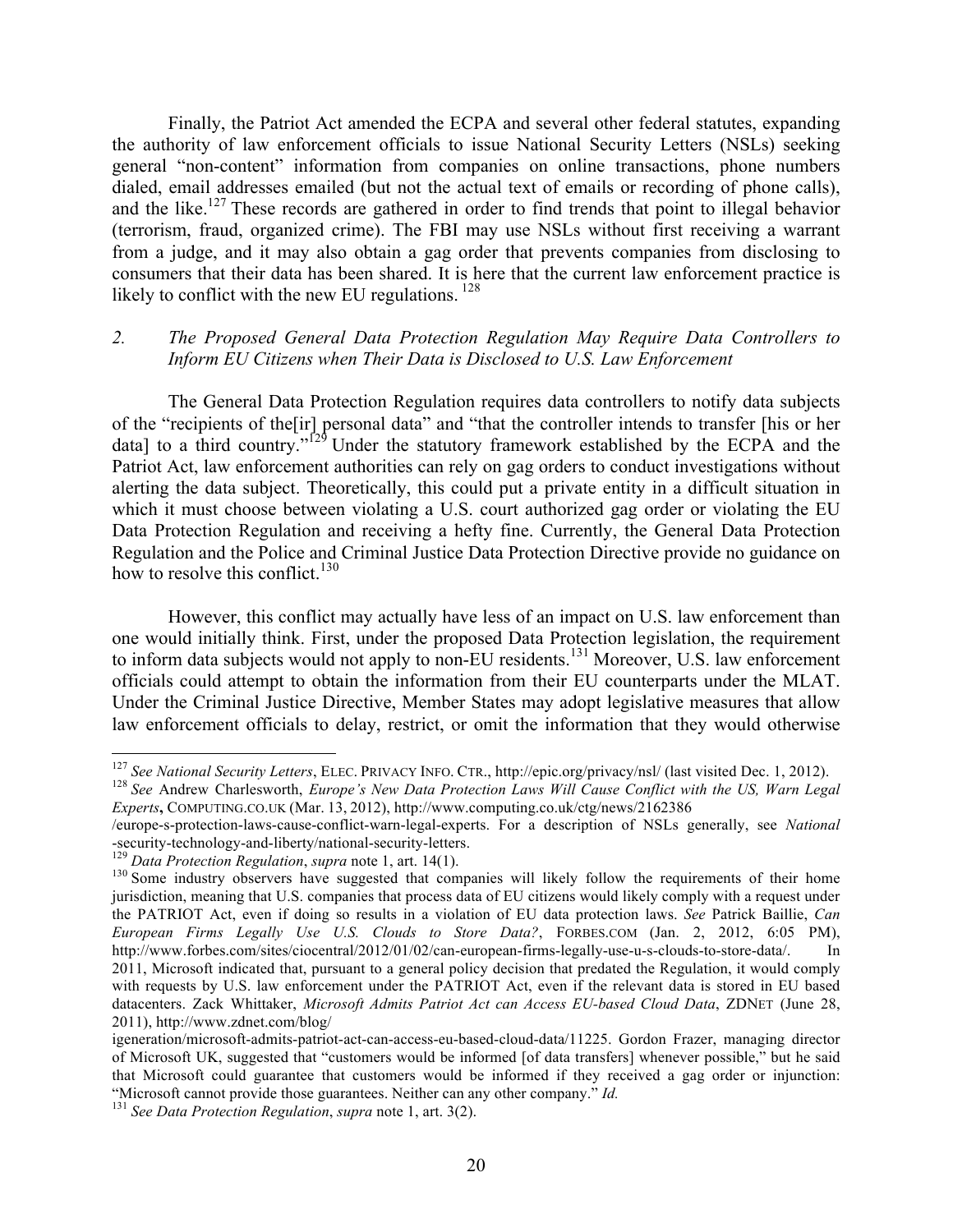Finally, the Patriot Act amended the ECPA and several other federal statutes, expanding the authority of law enforcement officials to issue National Security Letters (NSLs) seeking general "non-content" information from companies on online transactions, phone numbers dialed, email addresses emailed (but not the actual text of emails or recording of phone calls), and the like.<sup>127</sup> These records are gathered in order to find trends that point to illegal behavior (terrorism, fraud, organized crime). The FBI may use NSLs without first receiving a warrant from a judge, and it may also obtain a gag order that prevents companies from disclosing to consumers that their data has been shared. It is here that the current law enforcement practice is likely to conflict with the new EU regulations.  $^{128}$ 

### *2. The Proposed General Data Protection Regulation May Require Data Controllers to Inform EU Citizens when Their Data is Disclosed to U.S. Law Enforcement*

The General Data Protection Regulation requires data controllers to notify data subjects of the "recipients of the[ir] personal data" and "that the controller intends to transfer [his or her data] to a third country."<sup>129</sup> Under the statutory framework established by the ECPA and the Patriot Act, law enforcement authorities can rely on gag orders to conduct investigations without alerting the data subject. Theoretically, this could put a private entity in a difficult situation in which it must choose between violating a U.S. court authorized gag order or violating the EU Data Protection Regulation and receiving a hefty fine. Currently, the General Data Protection Regulation and the Police and Criminal Justice Data Protection Directive provide no guidance on how to resolve this conflict.<sup>130</sup>

However, this conflict may actually have less of an impact on U.S. law enforcement than one would initially think. First, under the proposed Data Protection legislation, the requirement to inform data subjects would not apply to non-EU residents.<sup>131</sup> Moreover, U.S. law enforcement officials could attempt to obtain the information from their EU counterparts under the MLAT. Under the Criminal Justice Directive, Member States may adopt legislative measures that allow law enforcement officials to delay, restrict, or omit the information that they would otherwise

<sup>&</sup>lt;sup>127</sup> See National Security Letters, ELEC. PRIVACY INFO. CTR., http://epic.org/privacy/nsl/ (last visited Dec. 1, 2012).<br><sup>128</sup> See Andrew Charlesworth, *Europe's New Data Protection Laws Will Cause Conflict with the US, W* 

*Experts***,** COMPUTING.CO.UK (Mar. 13, 2012), http://www.computing.co.uk/ctg/news/2162386

<sup>/</sup>europe-s-protection-laws-cause-conflict-warn-legal-experts. For a description of NSLs generally, see *National* 

<sup>&</sup>lt;sup>130</sup> Some industry observers have suggested that companies will likely follow the requirements of their home jurisdiction, meaning that U.S. companies that process data of EU citizens would likely comply with a request under the PATRIOT Act, even if doing so results in a violation of EU data protection laws. *See* Patrick Baillie, *Can European Firms Legally Use U.S. Clouds to Store Data?*, FORBES.COM (Jan. 2, 2012, 6:05 PM), http://www.forbes.com/sites/ciocentral/2012/01/02/can-european-firms-legally-use-u-s-clouds-to-store-data/. In 2011, Microsoft indicated that, pursuant to a general policy decision that predated the Regulation, it would comply with requests by U.S. law enforcement under the PATRIOT Act, even if the relevant data is stored in EU based datacenters. Zack Whittaker, *Microsoft Admits Patriot Act can Access EU-based Cloud Data*, ZDNET (June 28, 2011), http://www.zdnet.com/blog/

igeneration/microsoft-admits-patriot-act-can-access-eu-based-cloud-data/11225. Gordon Frazer, managing director of Microsoft UK, suggested that "customers would be informed [of data transfers] whenever possible," but he said that Microsoft could guarantee that customers would be informed if they received a gag order or injunction: "Microsoft cannot provide those guarantees. Neither can any other company." *Id.* <sup>131</sup> *See Data Protection Regulation*, *supra* note 1, art. 3(2).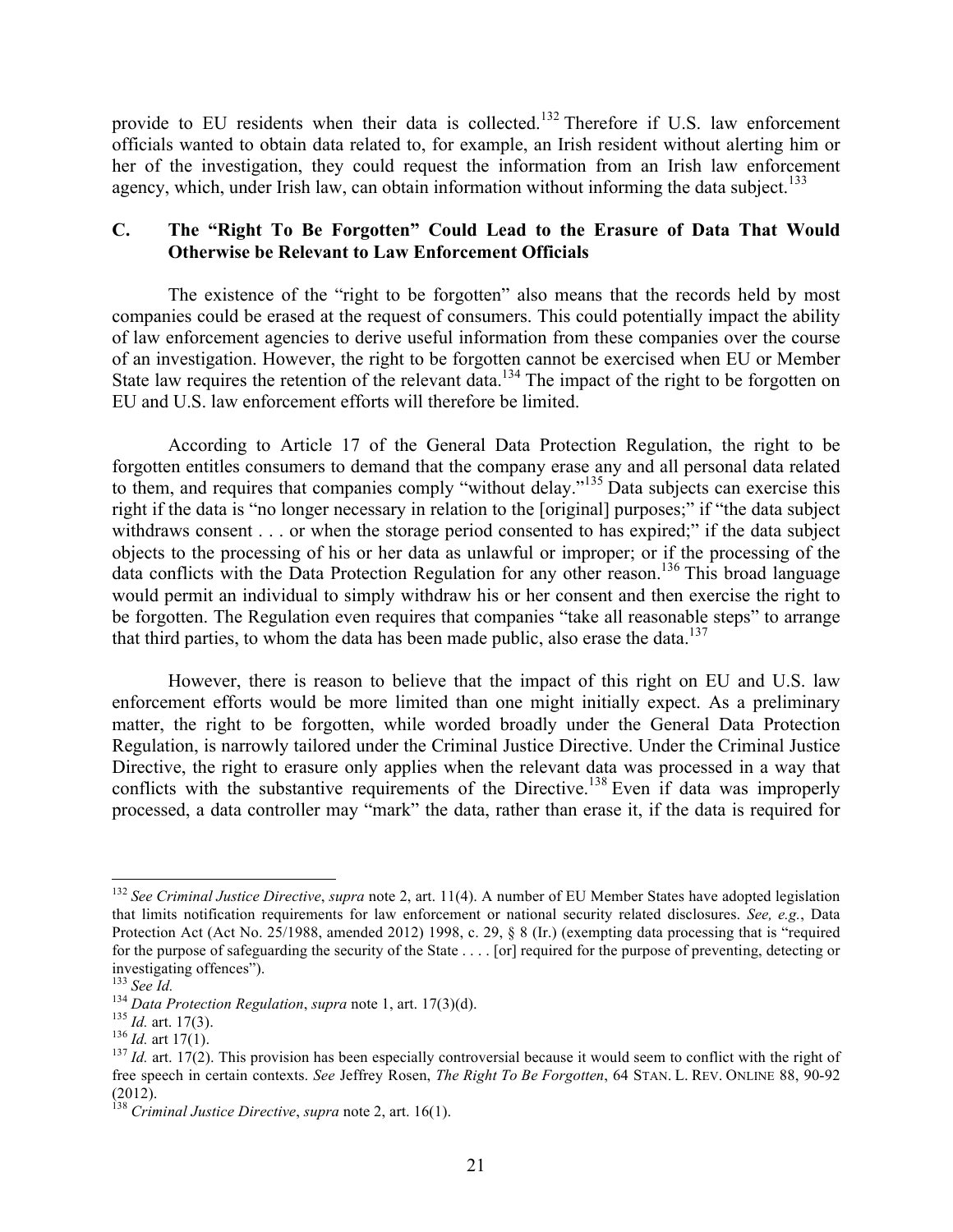provide to EU residents when their data is collected.<sup>132</sup> Therefore if U.S. law enforcement officials wanted to obtain data related to, for example, an Irish resident without alerting him or her of the investigation, they could request the information from an Irish law enforcement agency, which, under Irish law, can obtain information without informing the data subject.<sup>133</sup>

## **C. The "Right To Be Forgotten" Could Lead to the Erasure of Data That Would Otherwise be Relevant to Law Enforcement Officials**

The existence of the "right to be forgotten" also means that the records held by most companies could be erased at the request of consumers. This could potentially impact the ability of law enforcement agencies to derive useful information from these companies over the course of an investigation. However, the right to be forgotten cannot be exercised when EU or Member State law requires the retention of the relevant data.<sup>134</sup> The impact of the right to be forgotten on EU and U.S. law enforcement efforts will therefore be limited.

According to Article 17 of the General Data Protection Regulation, the right to be forgotten entitles consumers to demand that the company erase any and all personal data related to them, and requires that companies comply "without delay."<sup>135</sup> Data subjects can exercise this right if the data is "no longer necessary in relation to the [original] purposes;" if "the data subject withdraws consent . . . or when the storage period consented to has expired;" if the data subject objects to the processing of his or her data as unlawful or improper; or if the processing of the data conflicts with the Data Protection Regulation for any other reason.136 This broad language would permit an individual to simply withdraw his or her consent and then exercise the right to be forgotten. The Regulation even requires that companies "take all reasonable steps" to arrange that third parties, to whom the data has been made public, also erase the data.<sup>137</sup>

However, there is reason to believe that the impact of this right on EU and U.S. law enforcement efforts would be more limited than one might initially expect. As a preliminary matter, the right to be forgotten, while worded broadly under the General Data Protection Regulation, is narrowly tailored under the Criminal Justice Directive. Under the Criminal Justice Directive, the right to erasure only applies when the relevant data was processed in a way that conflicts with the substantive requirements of the Directive.<sup>138</sup> Even if data was improperly processed, a data controller may "mark" the data, rather than erase it, if the data is required for

 <sup>132</sup> *See Criminal Justice Directive*, *supra* note 2, art. 11(4). A number of EU Member States have adopted legislation that limits notification requirements for law enforcement or national security related disclosures. *See, e.g.*, Data Protection Act (Act No. 25/1988, amended 2012) 1998, c. 29, § 8 (Ir.) (exempting data processing that is "required for the purpose of safeguarding the security of the State . . . . [or] required for the purpose of preventing, detecting or investigating offences").<br> $^{133}$  See Id.

<sup>&</sup>lt;sup>134</sup> Data Protection Regulation, supra note 1, art. 17(3)(d).<br><sup>135</sup> Id. art. 17(3).<br><sup>136</sup> Id. art 17(1).<br><sup>136</sup> Id. art 17(1).<br><sup>136</sup> Id. art. 17(2). This provision has been especially controversial because it would seem t free speech in certain contexts. *See* Jeffrey Rosen, *The Right To Be Forgotten*, 64 STAN. L. REV. ONLINE 88, 90-92 (2012).

<sup>138</sup> *Criminal Justice Directive*, *supra* note 2, art. 16(1).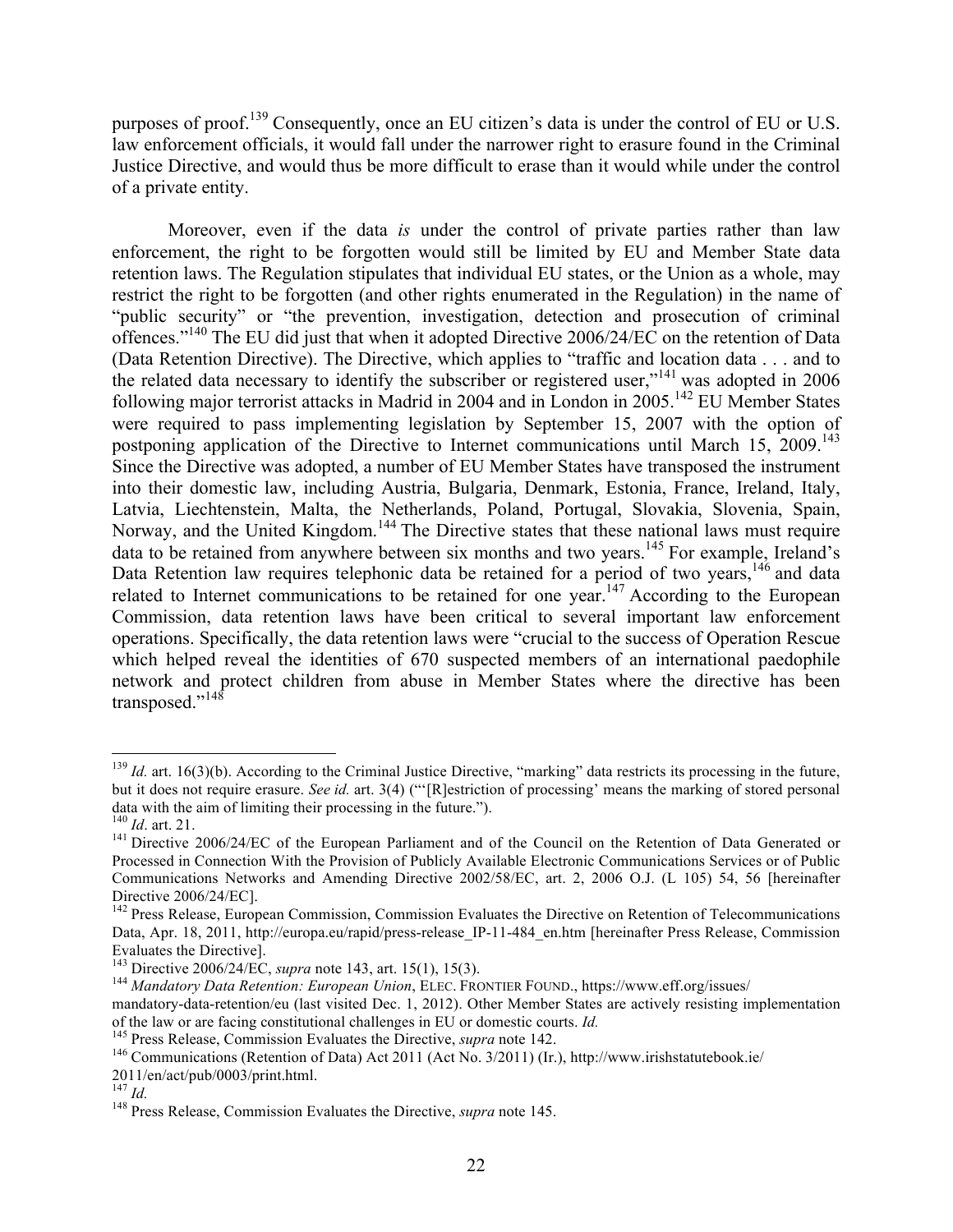purposes of proof.139 Consequently, once an EU citizen's data is under the control of EU or U.S. law enforcement officials, it would fall under the narrower right to erasure found in the Criminal Justice Directive, and would thus be more difficult to erase than it would while under the control of a private entity.

Moreover, even if the data *is* under the control of private parties rather than law enforcement, the right to be forgotten would still be limited by EU and Member State data retention laws. The Regulation stipulates that individual EU states, or the Union as a whole, may restrict the right to be forgotten (and other rights enumerated in the Regulation) in the name of "public security" or "the prevention, investigation, detection and prosecution of criminal offences."140 The EU did just that when it adopted Directive 2006/24/EC on the retention of Data (Data Retention Directive). The Directive, which applies to "traffic and location data . . . and to the related data necessary to identify the subscriber or registered user,<sup> $141$ </sup> was adopted in 2006 following major terrorist attacks in Madrid in 2004 and in London in 2005.<sup>142</sup> EU Member States were required to pass implementing legislation by September 15, 2007 with the option of postponing application of the Directive to Internet communications until March 15, 2009.<sup>143</sup> Since the Directive was adopted, a number of EU Member States have transposed the instrument into their domestic law, including Austria, Bulgaria, Denmark, Estonia, France, Ireland, Italy, Latvia, Liechtenstein, Malta, the Netherlands, Poland, Portugal, Slovakia, Slovenia, Spain, Norway, and the United Kingdom.<sup>144</sup> The Directive states that these national laws must require data to be retained from anywhere between six months and two years.<sup>145</sup> For example, Ireland's Data Retention law requires telephonic data be retained for a period of two years, <sup>146</sup> and data related to Internet communications to be retained for one year.<sup>147</sup> According to the European Commission, data retention laws have been critical to several important law enforcement operations. Specifically, the data retention laws were "crucial to the success of Operation Rescue which helped reveal the identities of 670 suspected members of an international paedophile network and protect children from abuse in Member States where the directive has been transposed."<sup>148</sup>

<sup>&</sup>lt;sup>139</sup> *Id.* art. 16(3)(b). According to the Criminal Justice Directive, "marking" data restricts its processing in the future, but it does not require erasure. *See id.* art. 3(4) ("'[R]estriction of processing' means the marking of stored personal data with the aim of limiting their processing in the future.").  $140$  *Id.* art. 21.

<sup>&</sup>lt;sup>141</sup> Directive 2006/24/EC of the European Parliament and of the Council on the Retention of Data Generated or Processed in Connection With the Provision of Publicly Available Electronic Communications Services or of Public Communications Networks and Amending Directive 2002/58/EC, art. 2, 2006 O.J. (L 105) 54, 56 [hereinafter Directive 2006/24/EC].

<sup>&</sup>lt;sup>142</sup> Press Release, European Commission, Commission Evaluates the Directive on Retention of Telecommunications Data, Apr. 18, 2011, http://europa.eu/rapid/press-release IP-11-484 en.htm [hereinafter Press Release, Commission Evaluates the Directive].<br><sup>143</sup> Directive 2006/24/EC, *supra* note 143, art. 15(1), 15(3).

<sup>&</sup>lt;sup>144</sup> Mandatory Data Retention: European Union, ELEC, FRONTIER FOUND., https://www.eff.org/issues/

mandatory-data-retention/eu (last visited Dec. 1, 2012). Other Member States are actively resisting implementation of the law or are facing constitutional challenges in EU or domestic courts. *Id*.

<sup>&</sup>lt;sup>145</sup> Press Release, Commission Evaluates the Directive, *supra* note 142.<br><sup>146</sup> Communications (Retention of Data) Act 2011 (Act No. 3/2011) (Ir.), http://www.irishstatutebook.ie/

<sup>2011/</sup>en/act/pub/0003/print.html.<br> $^{147}$  *Id* 

<sup>&</sup>lt;sup>148</sup> Press Release, Commission Evaluates the Directive, *supra* note 145.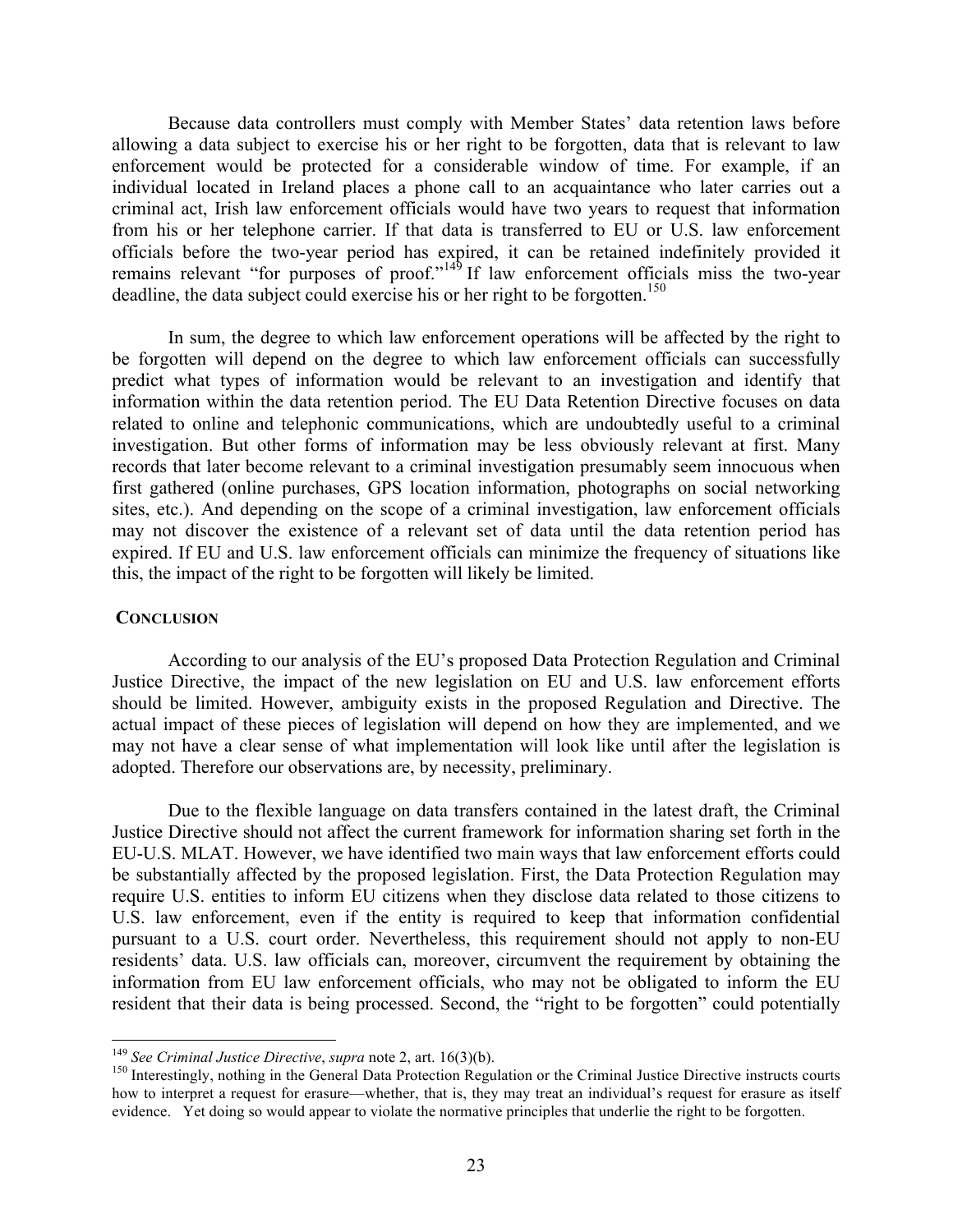Because data controllers must comply with Member States' data retention laws before allowing a data subject to exercise his or her right to be forgotten, data that is relevant to law enforcement would be protected for a considerable window of time. For example, if an individual located in Ireland places a phone call to an acquaintance who later carries out a criminal act, Irish law enforcement officials would have two years to request that information from his or her telephone carrier. If that data is transferred to EU or U.S. law enforcement officials before the two-year period has expired, it can be retained indefinitely provided it remains relevant "for purposes of proof."<sup>149</sup> If law enforcement officials miss the two-year deadline, the data subject could exercise his or her right to be forgotten.<sup>150</sup>

In sum, the degree to which law enforcement operations will be affected by the right to be forgotten will depend on the degree to which law enforcement officials can successfully predict what types of information would be relevant to an investigation and identify that information within the data retention period. The EU Data Retention Directive focuses on data related to online and telephonic communications, which are undoubtedly useful to a criminal investigation. But other forms of information may be less obviously relevant at first. Many records that later become relevant to a criminal investigation presumably seem innocuous when first gathered (online purchases, GPS location information, photographs on social networking sites, etc.). And depending on the scope of a criminal investigation, law enforcement officials may not discover the existence of a relevant set of data until the data retention period has expired. If EU and U.S. law enforcement officials can minimize the frequency of situations like this, the impact of the right to be forgotten will likely be limited.

#### **CONCLUSION**

According to our analysis of the EU's proposed Data Protection Regulation and Criminal Justice Directive, the impact of the new legislation on EU and U.S. law enforcement efforts should be limited. However, ambiguity exists in the proposed Regulation and Directive. The actual impact of these pieces of legislation will depend on how they are implemented, and we may not have a clear sense of what implementation will look like until after the legislation is adopted. Therefore our observations are, by necessity, preliminary.

Due to the flexible language on data transfers contained in the latest draft, the Criminal Justice Directive should not affect the current framework for information sharing set forth in the EU-U.S. MLAT. However, we have identified two main ways that law enforcement efforts could be substantially affected by the proposed legislation. First, the Data Protection Regulation may require U.S. entities to inform EU citizens when they disclose data related to those citizens to U.S. law enforcement, even if the entity is required to keep that information confidential pursuant to a U.S. court order. Nevertheless, this requirement should not apply to non-EU residents' data. U.S. law officials can, moreover, circumvent the requirement by obtaining the information from EU law enforcement officials, who may not be obligated to inform the EU resident that their data is being processed. Second, the "right to be forgotten" could potentially

<sup>&</sup>lt;sup>149</sup> *See Criminal Justice Directive*, *supra* note 2, art. 16(3)(b).<br><sup>150</sup> Interestingly, nothing in the General Data Protection Regulation or the Criminal Justice Directive instructs courts how to interpret a request for erasure—whether, that is, they may treat an individual's request for erasure as itself evidence. Yet doing so would appear to violate the normative principles that underlie the right to be forgotten.